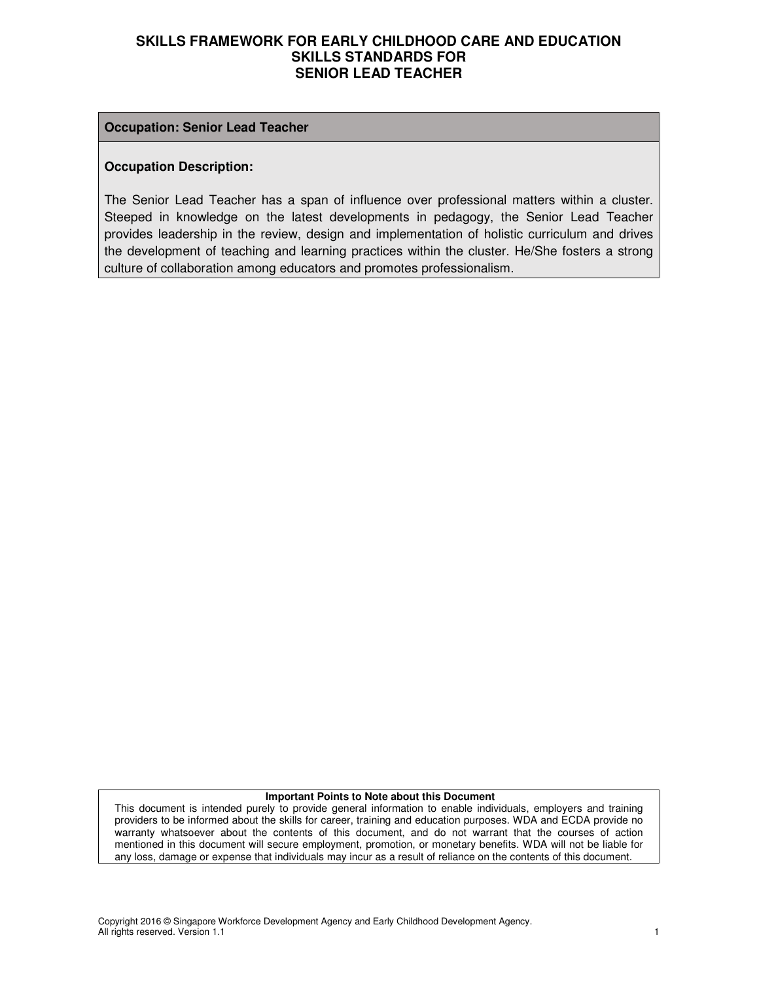#### **Occupation: Senior Lead Teacher**

#### **Occupation Description:**

The Senior Lead Teacher has a span of influence over professional matters within a cluster. Steeped in knowledge on the latest developments in pedagogy, the Senior Lead Teacher provides leadership in the review, design and implementation of holistic curriculum and drives the development of teaching and learning practices within the cluster. He/She fosters a strong culture of collaboration among educators and promotes professionalism.

#### **Important Points to Note about this Document**

This document is intended purely to provide general information to enable individuals, employers and training providers to be informed about the skills for career, training and education purposes. WDA and ECDA provide no warranty whatsoever about the contents of this document, and do not warrant that the courses of action mentioned in this document will secure employment, promotion, or monetary benefits. WDA will not be liable for any loss, damage or expense that individuals may incur as a result of reliance on the contents of this document.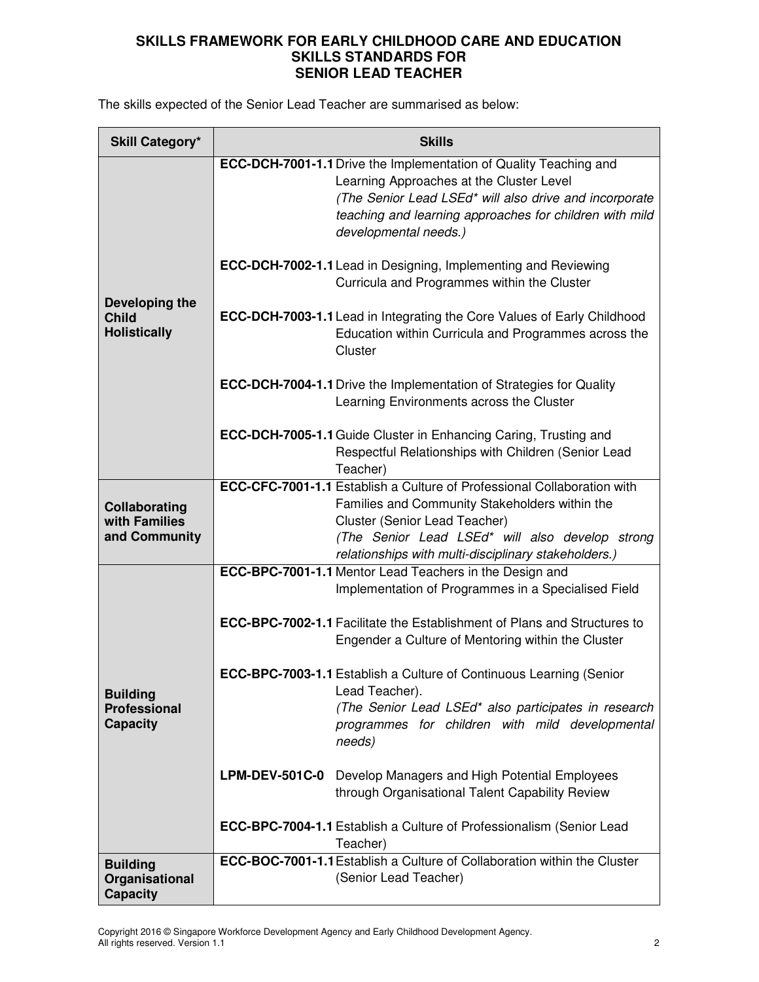The skills expected of the Senior Lead Teacher are summarised as below:

| <b>Skill Category*</b>                                    | <b>Skills</b>                                                                                                                                                     |                                                                                                                   |  |
|-----------------------------------------------------------|-------------------------------------------------------------------------------------------------------------------------------------------------------------------|-------------------------------------------------------------------------------------------------------------------|--|
|                                                           | <b>ECC-DCH-7001-1.1</b> Drive the Implementation of Quality Teaching and<br>Learning Approaches at the Cluster Level<br>developmental needs.)                     | (The Senior Lead LSEd* will also drive and incorporate<br>teaching and learning approaches for children with mild |  |
|                                                           | ECC-DCH-7002-1.1 Lead in Designing, Implementing and Reviewing<br>Curricula and Programmes within the Cluster                                                     |                                                                                                                   |  |
| Developing the<br><b>Child</b><br><b>Holistically</b>     | <b>ECC-DCH-7003-1.1</b> Lead in Integrating the Core Values of Early Childhood<br>Cluster                                                                         | Education within Curricula and Programmes across the                                                              |  |
|                                                           | <b>ECC-DCH-7004-1.1</b> Drive the Implementation of Strategies for Quality<br>Learning Environments across the Cluster                                            |                                                                                                                   |  |
|                                                           | <b>ECC-DCH-7005-1.1 Guide Cluster in Enhancing Caring, Trusting and</b><br>Respectful Relationships with Children (Senior Lead<br>Teacher)                        |                                                                                                                   |  |
| Collaborating<br>with Families<br>and Community           | <b>ECC-CFC-7001-1.1</b> Establish a Culture of Professional Collaboration with<br>Families and Community Stakeholders within the<br>Cluster (Senior Lead Teacher) | (The Senior Lead LSEd* will also develop strong                                                                   |  |
|                                                           | relationships with multi-disciplinary stakeholders.)<br>ECC-BPC-7001-1.1 Mentor Lead Teachers in the Design and                                                   |                                                                                                                   |  |
|                                                           | Implementation of Programmes in a Specialised Field                                                                                                               |                                                                                                                   |  |
|                                                           | <b>ECC-BPC-7002-1.1</b> Facilitate the Establishment of Plans and Structures to<br>Engender a Culture of Mentoring within the Cluster                             |                                                                                                                   |  |
| <b>Building</b><br><b>Professional</b><br><b>Capacity</b> | ECC-BPC-7003-1.1 Establish a Culture of Continuous Learning (Senior<br>Lead Teacher).<br>needs)                                                                   | (The Senior Lead LSEd* also participates in research<br>programmes for children with mild developmental           |  |
|                                                           | <b>LPM-DEV-501C-0</b><br>Develop Managers and High Potential Employees<br>through Organisational Talent Capability Review                                         |                                                                                                                   |  |
|                                                           | ECC-BPC-7004-1.1 Establish a Culture of Professionalism (Senior Lead<br>Teacher)                                                                                  |                                                                                                                   |  |
| <b>Building</b><br>Organisational<br><b>Capacity</b>      | <b>ECC-BOC-7001-1.1</b> Establish a Culture of Collaboration within the Cluster<br>(Senior Lead Teacher)                                                          |                                                                                                                   |  |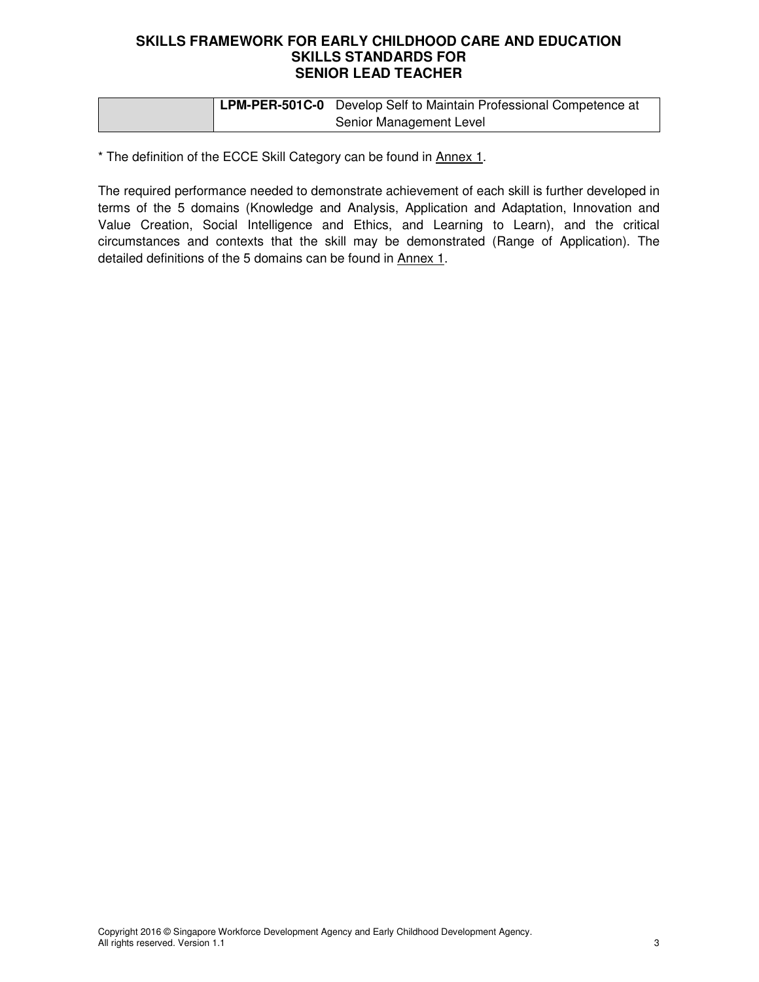|  | <b>LPM-PER-501C-0</b> Develop Self to Maintain Professional Competence at |
|--|---------------------------------------------------------------------------|
|  | Senior Management Level                                                   |

\* The definition of the ECCE Skill Category can be found in Annex 1.

The required performance needed to demonstrate achievement of each skill is further developed in terms of the 5 domains (Knowledge and Analysis, Application and Adaptation, Innovation and Value Creation, Social Intelligence and Ethics, and Learning to Learn), and the critical circumstances and contexts that the skill may be demonstrated (Range of Application). The detailed definitions of the 5 domains can be found in Annex 1.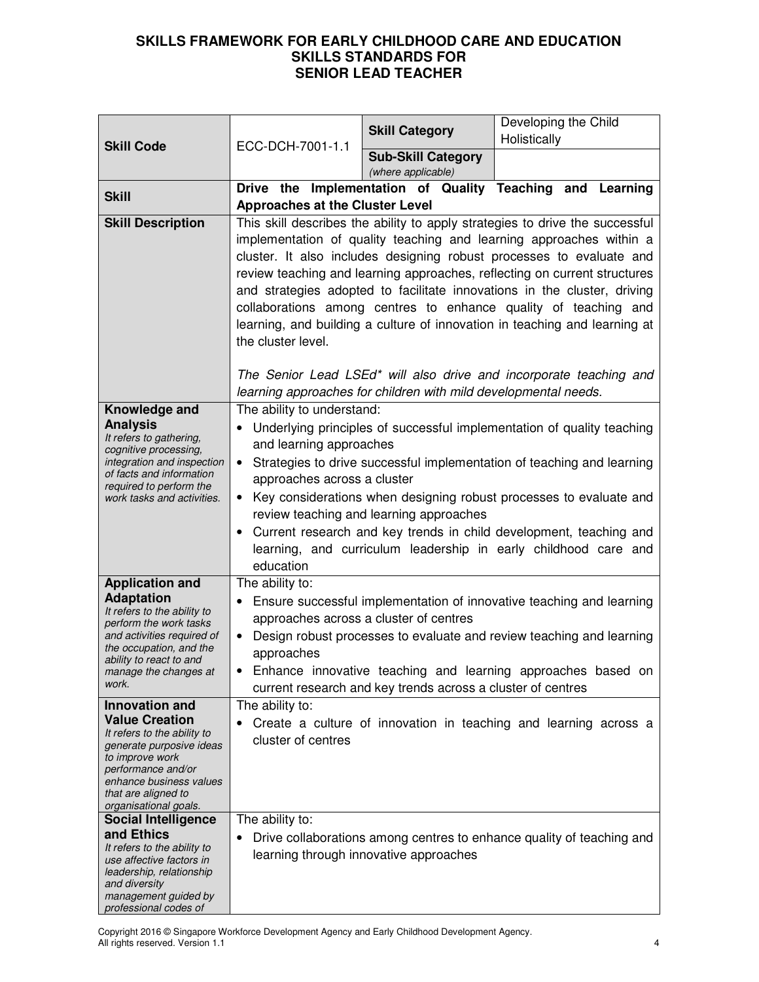|                                                                                                                                                                                                                            |                                                                                                                                                                                                                                                                                                                                                                                                                                                                                                                                                             | <b>Skill Category</b>                                           | Developing the Child                                                                                                                                                                                                                                                                                                                                            |
|----------------------------------------------------------------------------------------------------------------------------------------------------------------------------------------------------------------------------|-------------------------------------------------------------------------------------------------------------------------------------------------------------------------------------------------------------------------------------------------------------------------------------------------------------------------------------------------------------------------------------------------------------------------------------------------------------------------------------------------------------------------------------------------------------|-----------------------------------------------------------------|-----------------------------------------------------------------------------------------------------------------------------------------------------------------------------------------------------------------------------------------------------------------------------------------------------------------------------------------------------------------|
| <b>Skill Code</b>                                                                                                                                                                                                          | ECC-DCH-7001-1.1                                                                                                                                                                                                                                                                                                                                                                                                                                                                                                                                            |                                                                 | Holistically                                                                                                                                                                                                                                                                                                                                                    |
|                                                                                                                                                                                                                            |                                                                                                                                                                                                                                                                                                                                                                                                                                                                                                                                                             | <b>Sub-Skill Category</b><br>(where applicable)                 |                                                                                                                                                                                                                                                                                                                                                                 |
| <b>Skill</b>                                                                                                                                                                                                               |                                                                                                                                                                                                                                                                                                                                                                                                                                                                                                                                                             |                                                                 | Drive the Implementation of Quality Teaching and Learning                                                                                                                                                                                                                                                                                                       |
| <b>Skill Description</b>                                                                                                                                                                                                   | <b>Approaches at the Cluster Level</b>                                                                                                                                                                                                                                                                                                                                                                                                                                                                                                                      |                                                                 |                                                                                                                                                                                                                                                                                                                                                                 |
|                                                                                                                                                                                                                            | This skill describes the ability to apply strategies to drive the successful<br>implementation of quality teaching and learning approaches within a<br>cluster. It also includes designing robust processes to evaluate and<br>review teaching and learning approaches, reflecting on current structures<br>and strategies adopted to facilitate innovations in the cluster, driving<br>collaborations among centres to enhance quality of teaching and<br>learning, and building a culture of innovation in teaching and learning at<br>the cluster level. |                                                                 |                                                                                                                                                                                                                                                                                                                                                                 |
|                                                                                                                                                                                                                            |                                                                                                                                                                                                                                                                                                                                                                                                                                                                                                                                                             | learning approaches for children with mild developmental needs. | The Senior Lead LSEd* will also drive and incorporate teaching and                                                                                                                                                                                                                                                                                              |
| Knowledge and<br><b>Analysis</b><br>It refers to gathering,<br>cognitive processing,<br>integration and inspection<br>of facts and information<br>required to perform the<br>work tasks and activities.                    | The ability to understand:<br>and learning approaches<br>$\bullet$<br>approaches across a cluster<br>$\bullet$<br>education                                                                                                                                                                                                                                                                                                                                                                                                                                 | review teaching and learning approaches                         | Underlying principles of successful implementation of quality teaching<br>Strategies to drive successful implementation of teaching and learning<br>Key considerations when designing robust processes to evaluate and<br>Current research and key trends in child development, teaching and<br>learning, and curriculum leadership in early childhood care and |
| <b>Application and</b><br><b>Adaptation</b><br>It refers to the ability to<br>perform the work tasks<br>and activities required of<br>the occupation, and the<br>ability to react to and<br>manage the changes at<br>work. | The ability to:<br>Ensure successful implementation of innovative teaching and learning<br>approaches across a cluster of centres<br>Design robust processes to evaluate and review teaching and learning<br>٠<br>approaches<br>Enhance innovative teaching and learning approaches based on<br>current research and key trends across a cluster of centres                                                                                                                                                                                                 |                                                                 |                                                                                                                                                                                                                                                                                                                                                                 |
| <b>Innovation and</b>                                                                                                                                                                                                      | The ability to:                                                                                                                                                                                                                                                                                                                                                                                                                                                                                                                                             |                                                                 |                                                                                                                                                                                                                                                                                                                                                                 |
| <b>Value Creation</b><br>It refers to the ability to<br>generate purposive ideas<br>to improve work<br>performance and/or<br>enhance business values<br>that are aligned to<br>organisational goals.                       | cluster of centres                                                                                                                                                                                                                                                                                                                                                                                                                                                                                                                                          |                                                                 | Create a culture of innovation in teaching and learning across a                                                                                                                                                                                                                                                                                                |
| <b>Social Intelligence</b>                                                                                                                                                                                                 | The ability to:                                                                                                                                                                                                                                                                                                                                                                                                                                                                                                                                             |                                                                 |                                                                                                                                                                                                                                                                                                                                                                 |
| and Ethics<br>It refers to the ability to<br>use affective factors in<br>leadership, relationship<br>and diversity<br>management guided by<br>professional codes of                                                        |                                                                                                                                                                                                                                                                                                                                                                                                                                                                                                                                                             | learning through innovative approaches                          | Drive collaborations among centres to enhance quality of teaching and                                                                                                                                                                                                                                                                                           |

Copyright 2016 © Singapore Workforce Development Agency and Early Childhood Development Agency. All rights reserved. Version 1.1 4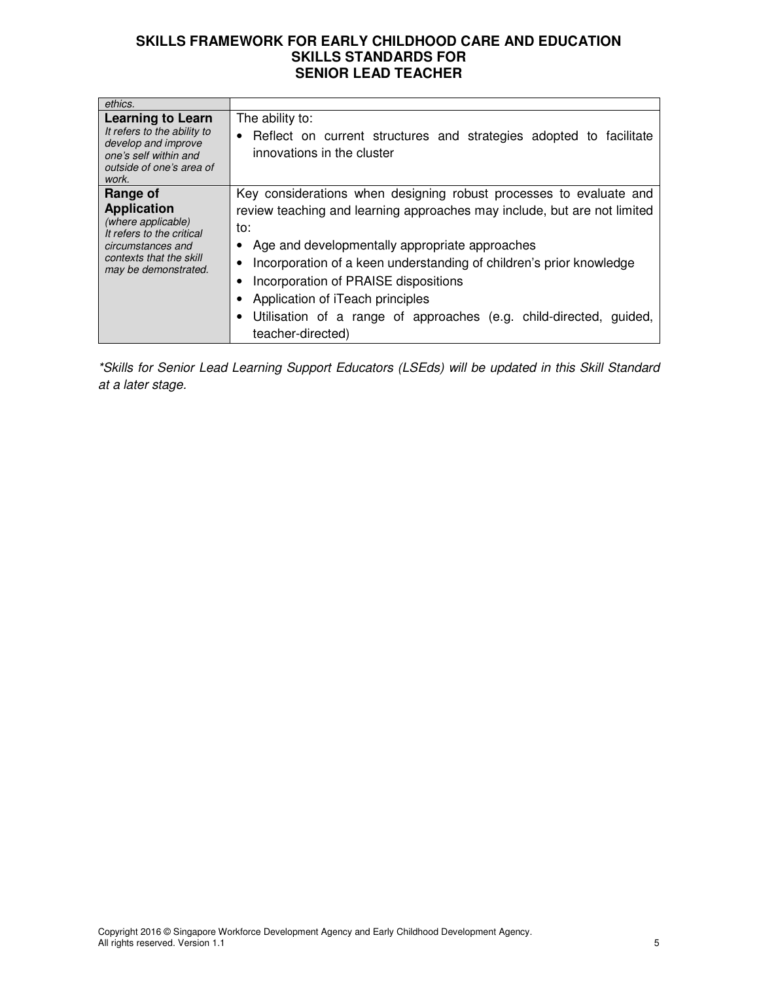| ethics.                                                                                                                                                   |                                                                                                                                                                                                                                                                                                                                                                                                                                                         |
|-----------------------------------------------------------------------------------------------------------------------------------------------------------|---------------------------------------------------------------------------------------------------------------------------------------------------------------------------------------------------------------------------------------------------------------------------------------------------------------------------------------------------------------------------------------------------------------------------------------------------------|
| <b>Learning to Learn</b><br>It refers to the ability to<br>develop and improve<br>one's self within and<br>outside of one's area of<br>work.              | The ability to:<br>• Reflect on current structures and strategies adopted to facilitate<br>innovations in the cluster                                                                                                                                                                                                                                                                                                                                   |
| Range of<br><b>Application</b><br>(where applicable)<br>It refers to the critical<br>circumstances and<br>contexts that the skill<br>may be demonstrated. | Key considerations when designing robust processes to evaluate and<br>review teaching and learning approaches may include, but are not limited<br>to:<br>• Age and developmentally appropriate approaches<br>Incorporation of a keen understanding of children's prior knowledge<br>Incorporation of PRAISE dispositions<br>Application of iTeach principles<br>Utilisation of a range of approaches (e.g. child-directed, guided,<br>teacher-directed) |

\*Skills for Senior Lead Learning Support Educators (LSEds) will be updated in this Skill Standard at a later stage.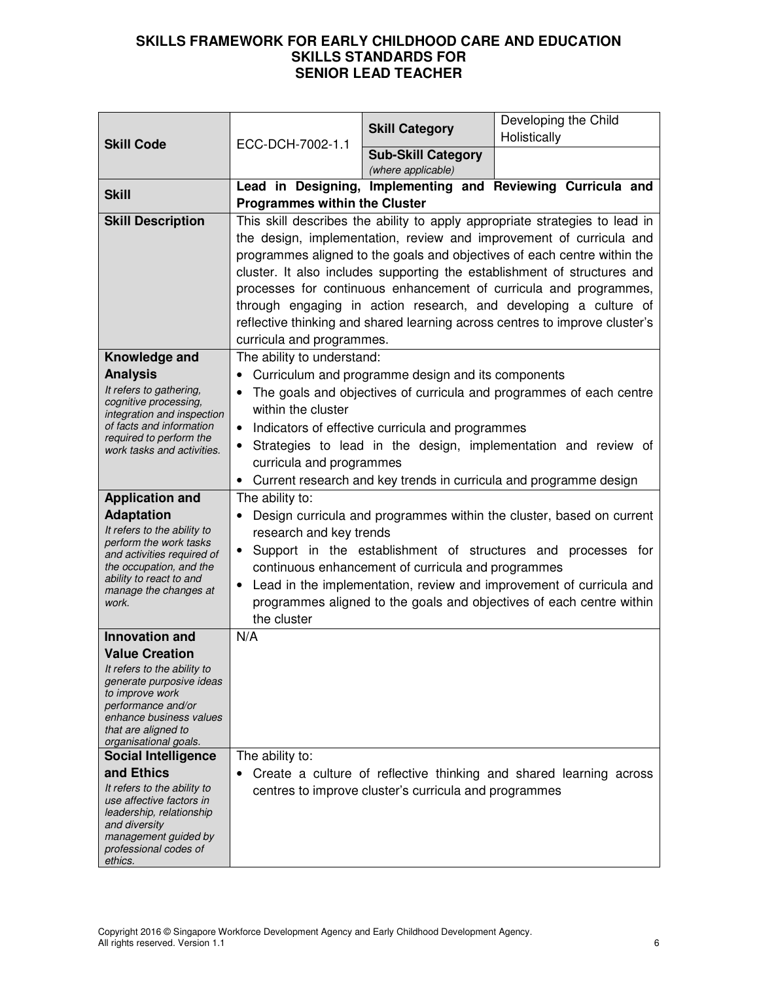|                                                                                                                                                                                                                            | ECC-DCH-7002-1.1                                                                                                                                                                                                                                                                                                                                                                                                                                                                                                                                                | <b>Skill Category</b>                                 | Developing the Child<br>Holistically                               |
|----------------------------------------------------------------------------------------------------------------------------------------------------------------------------------------------------------------------------|-----------------------------------------------------------------------------------------------------------------------------------------------------------------------------------------------------------------------------------------------------------------------------------------------------------------------------------------------------------------------------------------------------------------------------------------------------------------------------------------------------------------------------------------------------------------|-------------------------------------------------------|--------------------------------------------------------------------|
| <b>Skill Code</b>                                                                                                                                                                                                          |                                                                                                                                                                                                                                                                                                                                                                                                                                                                                                                                                                 | <b>Sub-Skill Category</b><br>(where applicable)       |                                                                    |
| <b>Skill</b>                                                                                                                                                                                                               | <b>Programmes within the Cluster</b>                                                                                                                                                                                                                                                                                                                                                                                                                                                                                                                            |                                                       | Lead in Designing, Implementing and Reviewing Curricula and        |
| <b>Skill Description</b>                                                                                                                                                                                                   | This skill describes the ability to apply appropriate strategies to lead in<br>the design, implementation, review and improvement of curricula and<br>programmes aligned to the goals and objectives of each centre within the<br>cluster. It also includes supporting the establishment of structures and<br>processes for continuous enhancement of curricula and programmes,<br>through engaging in action research, and developing a culture of<br>reflective thinking and shared learning across centres to improve cluster's<br>curricula and programmes. |                                                       |                                                                    |
| Knowledge and<br><b>Analysis</b><br>It refers to gathering,<br>cognitive processing,<br>integration and inspection<br>of facts and information<br>required to perform the<br>work tasks and activities.                    | The ability to understand:<br>Curriculum and programme design and its components<br>The goals and objectives of curricula and programmes of each centre<br>within the cluster<br>Indicators of effective curricula and programmes<br>$\bullet$<br>Strategies to lead in the design, implementation and review of<br>curricula and programmes<br>Current research and key trends in curricula and programme design<br>$\bullet$                                                                                                                                  |                                                       |                                                                    |
| <b>Application and</b><br><b>Adaptation</b><br>It refers to the ability to<br>perform the work tasks<br>and activities required of<br>the occupation, and the<br>ability to react to and<br>manage the changes at<br>work. | The ability to:<br>Design curricula and programmes within the cluster, based on current<br>research and key trends<br>Support in the establishment of structures and processes for<br>$\bullet$<br>continuous enhancement of curricula and programmes<br>Lead in the implementation, review and improvement of curricula and<br>programmes aligned to the goals and objectives of each centre within<br>the cluster                                                                                                                                             |                                                       |                                                                    |
| <b>Innovation and</b>                                                                                                                                                                                                      | N/A                                                                                                                                                                                                                                                                                                                                                                                                                                                                                                                                                             |                                                       |                                                                    |
| <b>Value Creation</b><br>It refers to the ability to<br>generate purposive ideas<br>to improve work<br>performance and/or<br>enhance business values<br>that are aligned to<br>organisational goals.                       |                                                                                                                                                                                                                                                                                                                                                                                                                                                                                                                                                                 |                                                       |                                                                    |
| <b>Social Intelligence</b>                                                                                                                                                                                                 | The ability to:                                                                                                                                                                                                                                                                                                                                                                                                                                                                                                                                                 |                                                       |                                                                    |
| and Ethics<br>It refers to the ability to<br>use affective factors in<br>leadership, relationship<br>and diversity<br>management guided by<br>professional codes of<br>ethics.                                             |                                                                                                                                                                                                                                                                                                                                                                                                                                                                                                                                                                 | centres to improve cluster's curricula and programmes | Create a culture of reflective thinking and shared learning across |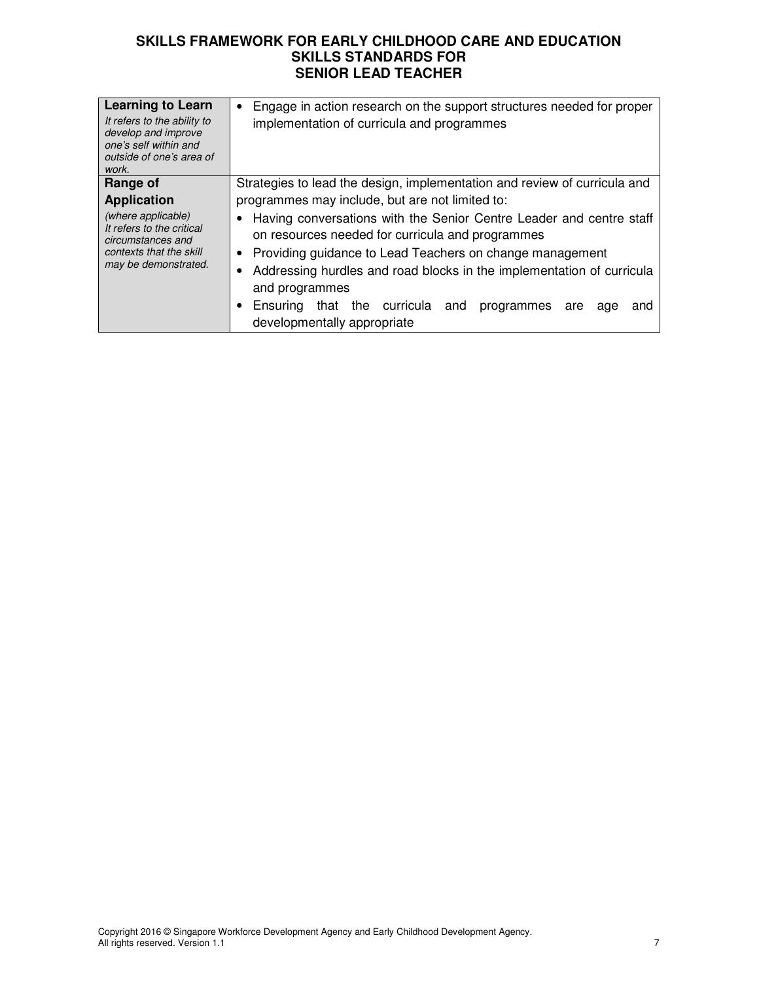| <b>Learning to Learn</b><br>It refers to the ability to<br>develop and improve<br>one's self within and<br>outside of one's area of<br>work.              | Engage in action research on the support structures needed for proper<br>$\bullet$<br>implementation of curricula and programmes                                                                                                                                                                                                                                                                                                                                                                                                  |
|-----------------------------------------------------------------------------------------------------------------------------------------------------------|-----------------------------------------------------------------------------------------------------------------------------------------------------------------------------------------------------------------------------------------------------------------------------------------------------------------------------------------------------------------------------------------------------------------------------------------------------------------------------------------------------------------------------------|
| Range of<br><b>Application</b><br>(where applicable)<br>It refers to the critical<br>circumstances and<br>contexts that the skill<br>may be demonstrated. | Strategies to lead the design, implementation and review of curricula and<br>programmes may include, but are not limited to:<br>Having conversations with the Senior Centre Leader and centre staff<br>on resources needed for curricula and programmes<br>• Providing guidance to Lead Teachers on change management<br>Addressing hurdles and road blocks in the implementation of curricula<br>and programmes<br>curricula<br>Ensuring<br>the<br>that<br>and<br>programmes<br>are<br>and<br>age<br>developmentally appropriate |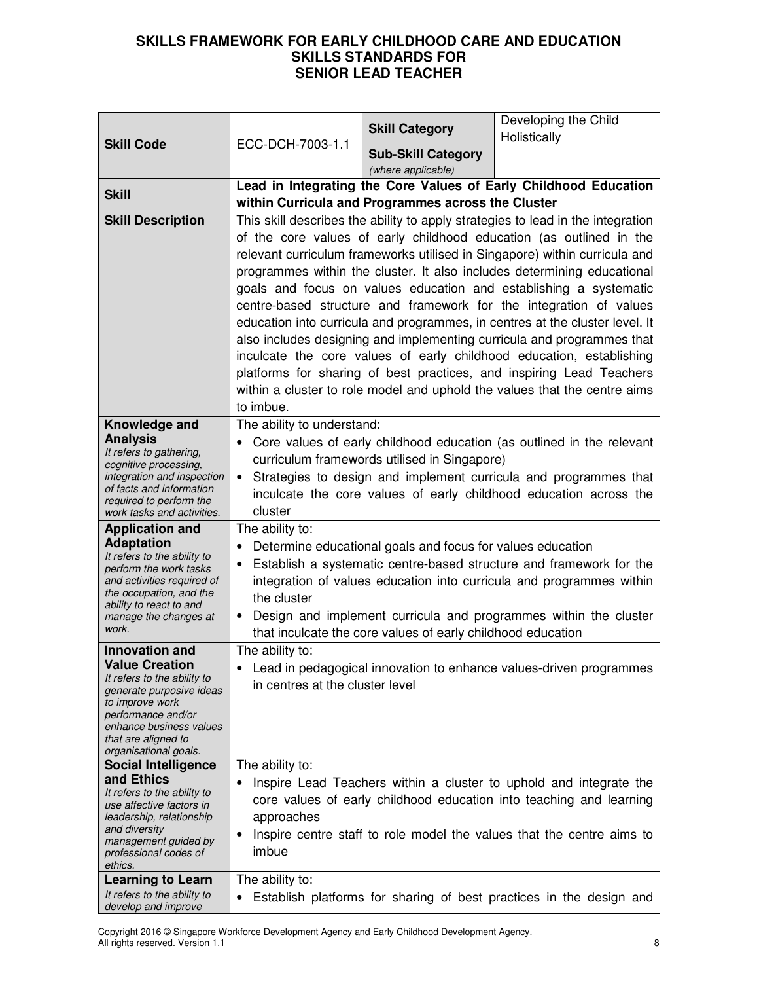|                                                      |                                                                                                                                       | <b>Skill Category</b>                                       | Developing the Child<br>Holistically                                                                                                         |
|------------------------------------------------------|---------------------------------------------------------------------------------------------------------------------------------------|-------------------------------------------------------------|----------------------------------------------------------------------------------------------------------------------------------------------|
| <b>Skill Code</b>                                    | ECC-DCH-7003-1.1                                                                                                                      | <b>Sub-Skill Category</b>                                   |                                                                                                                                              |
|                                                      |                                                                                                                                       | (where applicable)                                          |                                                                                                                                              |
| <b>Skill</b>                                         | Lead in Integrating the Core Values of Early Childhood Education                                                                      |                                                             |                                                                                                                                              |
|                                                      | within Curricula and Programmes across the Cluster<br>This skill describes the ability to apply strategies to lead in the integration |                                                             |                                                                                                                                              |
| <b>Skill Description</b>                             |                                                                                                                                       |                                                             | of the core values of early childhood education (as outlined in the                                                                          |
|                                                      |                                                                                                                                       |                                                             | relevant curriculum frameworks utilised in Singapore) within curricula and                                                                   |
|                                                      |                                                                                                                                       |                                                             | programmes within the cluster. It also includes determining educational                                                                      |
|                                                      |                                                                                                                                       |                                                             | goals and focus on values education and establishing a systematic                                                                            |
|                                                      |                                                                                                                                       |                                                             | centre-based structure and framework for the integration of values                                                                           |
|                                                      |                                                                                                                                       |                                                             | education into curricula and programmes, in centres at the cluster level. It                                                                 |
|                                                      |                                                                                                                                       |                                                             | also includes designing and implementing curricula and programmes that                                                                       |
|                                                      |                                                                                                                                       |                                                             | inculcate the core values of early childhood education, establishing<br>platforms for sharing of best practices, and inspiring Lead Teachers |
|                                                      |                                                                                                                                       |                                                             | within a cluster to role model and uphold the values that the centre aims                                                                    |
|                                                      | to imbue.                                                                                                                             |                                                             |                                                                                                                                              |
| Knowledge and                                        | The ability to understand:                                                                                                            |                                                             |                                                                                                                                              |
| <b>Analysis</b>                                      |                                                                                                                                       |                                                             | Core values of early childhood education (as outlined in the relevant                                                                        |
| It refers to gathering,<br>cognitive processing,     |                                                                                                                                       | curriculum framewords utilised in Singapore)                |                                                                                                                                              |
| integration and inspection                           | Strategies to design and implement curricula and programmes that                                                                      |                                                             |                                                                                                                                              |
| of facts and information<br>required to perform the  | inculcate the core values of early childhood education across the                                                                     |                                                             |                                                                                                                                              |
| work tasks and activities.                           | cluster                                                                                                                               |                                                             |                                                                                                                                              |
| <b>Application and</b><br><b>Adaptation</b>          | The ability to:                                                                                                                       |                                                             |                                                                                                                                              |
| It refers to the ability to                          |                                                                                                                                       | Determine educational goals and focus for values education  | Establish a systematic centre-based structure and framework for the                                                                          |
| perform the work tasks<br>and activities required of |                                                                                                                                       |                                                             | integration of values education into curricula and programmes within                                                                         |
| the occupation, and the                              | the cluster                                                                                                                           |                                                             |                                                                                                                                              |
| ability to react to and<br>manage the changes at     |                                                                                                                                       |                                                             | Design and implement curricula and programmes within the cluster                                                                             |
| work.                                                |                                                                                                                                       | that inculcate the core values of early childhood education |                                                                                                                                              |
| Innovation and                                       | The ability to:                                                                                                                       |                                                             |                                                                                                                                              |
| <b>Value Creation</b><br>It refers to the ability to |                                                                                                                                       |                                                             | Lead in pedagogical innovation to enhance values-driven programmes                                                                           |
| generate purposive ideas                             | in centres at the cluster level                                                                                                       |                                                             |                                                                                                                                              |
| to improve work<br>performance and/or                |                                                                                                                                       |                                                             |                                                                                                                                              |
| enhance business values<br>that are aligned to       |                                                                                                                                       |                                                             |                                                                                                                                              |
| organisational goals.                                |                                                                                                                                       |                                                             |                                                                                                                                              |
| <b>Social Intelligence</b><br>and Ethics             | The ability to:                                                                                                                       |                                                             |                                                                                                                                              |
| It refers to the ability to                          |                                                                                                                                       |                                                             | Inspire Lead Teachers within a cluster to uphold and integrate the                                                                           |
| use affective factors in<br>leadership, relationship | approaches                                                                                                                            |                                                             | core values of early childhood education into teaching and learning                                                                          |
| and diversity                                        | ٠                                                                                                                                     |                                                             | Inspire centre staff to role model the values that the centre aims to                                                                        |
| management guided by<br>professional codes of        | imbue                                                                                                                                 |                                                             |                                                                                                                                              |
| ethics.                                              |                                                                                                                                       |                                                             |                                                                                                                                              |
| Learning to Learn<br>It refers to the ability to     | The ability to:                                                                                                                       |                                                             |                                                                                                                                              |
| develop and improve                                  | $\bullet$                                                                                                                             |                                                             | Establish platforms for sharing of best practices in the design and                                                                          |

Copyright 2016 © Singapore Workforce Development Agency and Early Childhood Development Agency. All rights reserved. Version 1.1 8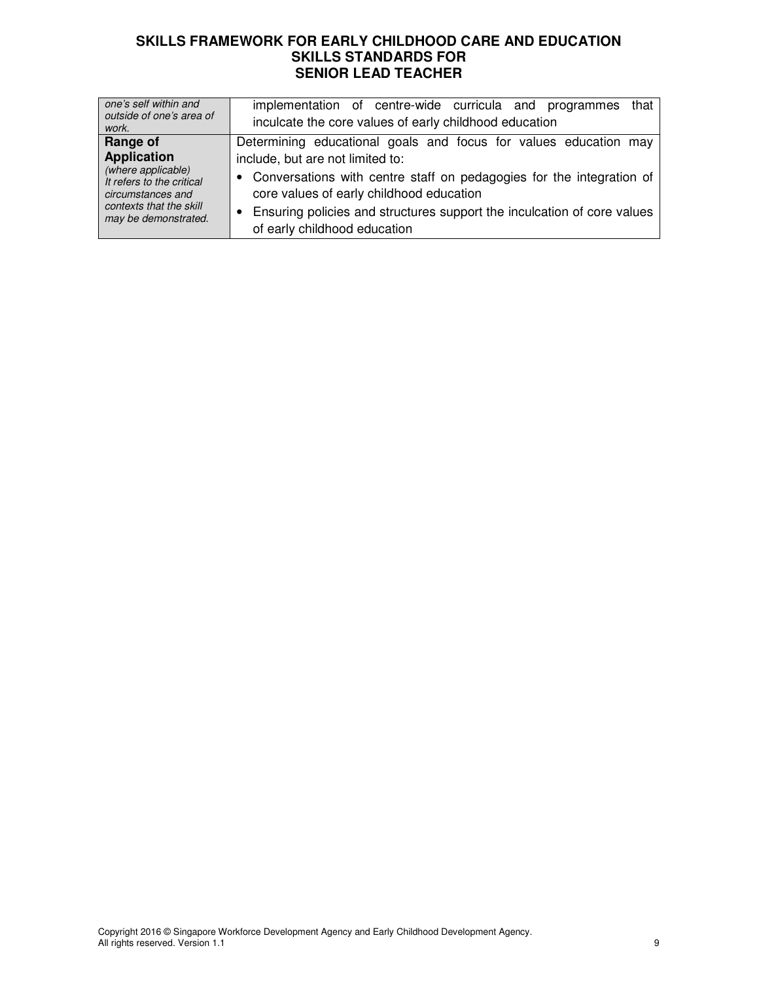| one's self within and     | implementation of centre-wide curricula and programmes                  |
|---------------------------|-------------------------------------------------------------------------|
| outside of one's area of  | that                                                                    |
| work.                     | inculcate the core values of early childhood education                  |
| Range of                  | Determining educational goals and focus for values education may        |
| <b>Application</b>        | include, but are not limited to:                                        |
| (where applicable)        | • Conversations with centre staff on pedagogies for the integration of  |
| It refers to the critical | core values of early childhood education                                |
| circumstances and         | Ensuring policies and structures support the inculcation of core values |
| contexts that the skill   | $\bullet$                                                               |
| may be demonstrated.      | of early childhood education                                            |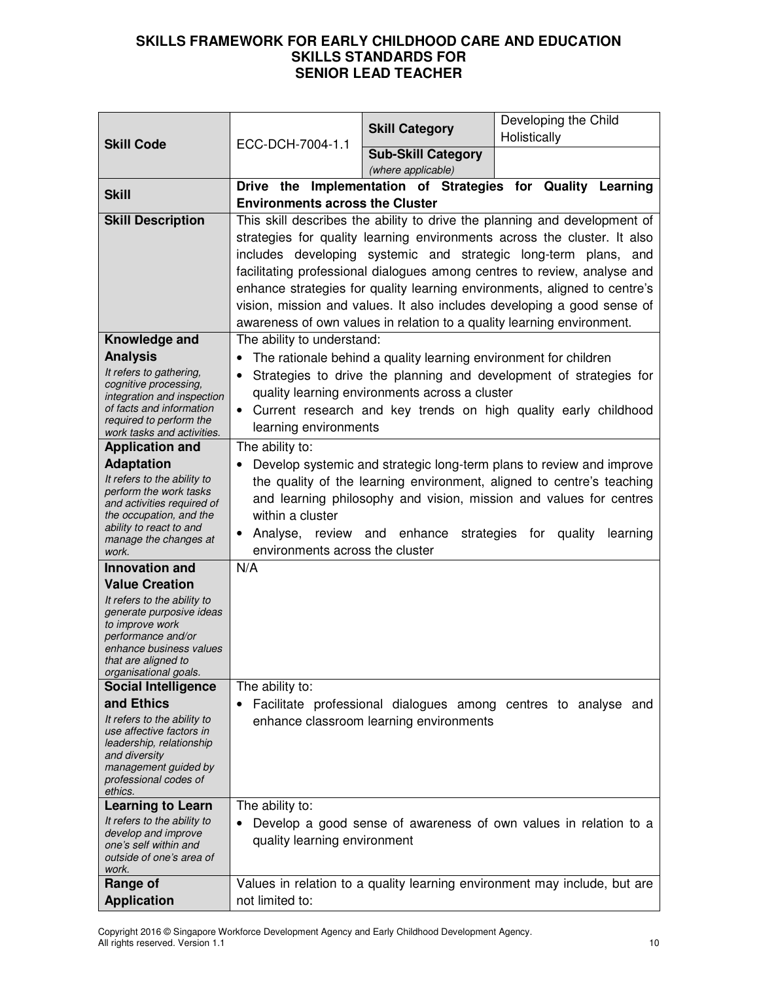|                                                         |                                        | <b>Skill Category</b>                                            | Developing the Child<br>Holistically                                                                                                        |
|---------------------------------------------------------|----------------------------------------|------------------------------------------------------------------|---------------------------------------------------------------------------------------------------------------------------------------------|
| <b>Skill Code</b>                                       | ECC-DCH-7004-1.1                       | <b>Sub-Skill Category</b>                                        |                                                                                                                                             |
|                                                         |                                        | (where applicable)                                               |                                                                                                                                             |
| <b>Skill</b>                                            |                                        |                                                                  | Drive the Implementation of Strategies for Quality Learning                                                                                 |
|                                                         | <b>Environments across the Cluster</b> |                                                                  |                                                                                                                                             |
| <b>Skill Description</b>                                |                                        |                                                                  | This skill describes the ability to drive the planning and development of                                                                   |
|                                                         |                                        |                                                                  | strategies for quality learning environments across the cluster. It also                                                                    |
|                                                         |                                        |                                                                  | includes developing systemic and strategic long-term plans, and<br>facilitating professional dialogues among centres to review, analyse and |
|                                                         |                                        |                                                                  | enhance strategies for quality learning environments, aligned to centre's                                                                   |
|                                                         |                                        |                                                                  | vision, mission and values. It also includes developing a good sense of                                                                     |
|                                                         |                                        |                                                                  | awareness of own values in relation to a quality learning environment.                                                                      |
| Knowledge and                                           | The ability to understand:             |                                                                  |                                                                                                                                             |
| <b>Analysis</b>                                         | $\bullet$                              | The rationale behind a quality learning environment for children |                                                                                                                                             |
| It refers to gathering,                                 | $\bullet$                              |                                                                  | Strategies to drive the planning and development of strategies for                                                                          |
| cognitive processing,<br>integration and inspection     |                                        | quality learning environments across a cluster                   |                                                                                                                                             |
| of facts and information                                | $\bullet$                              |                                                                  | Current research and key trends on high quality early childhood                                                                             |
| required to perform the<br>work tasks and activities.   | learning environments                  |                                                                  |                                                                                                                                             |
| <b>Application and</b>                                  | The ability to:                        |                                                                  |                                                                                                                                             |
| <b>Adaptation</b>                                       |                                        |                                                                  | Develop systemic and strategic long-term plans to review and improve                                                                        |
| It refers to the ability to                             |                                        |                                                                  | the quality of the learning environment, aligned to centre's teaching                                                                       |
| perform the work tasks<br>and activities required of    |                                        |                                                                  | and learning philosophy and vision, mission and values for centres                                                                          |
| the occupation, and the                                 | within a cluster                       |                                                                  |                                                                                                                                             |
| ability to react to and<br>manage the changes at        | $\bullet$                              | Analyse, review and enhance strategies for quality               | learning                                                                                                                                    |
| work.                                                   | environments across the cluster        |                                                                  |                                                                                                                                             |
| <b>Innovation and</b>                                   | N/A                                    |                                                                  |                                                                                                                                             |
| <b>Value Creation</b>                                   |                                        |                                                                  |                                                                                                                                             |
| It refers to the ability to<br>generate purposive ideas |                                        |                                                                  |                                                                                                                                             |
| to improve work                                         |                                        |                                                                  |                                                                                                                                             |
| performance and/or<br>enhance business values           |                                        |                                                                  |                                                                                                                                             |
| that are aligned to                                     |                                        |                                                                  |                                                                                                                                             |
| organisational goals.<br><b>Social Intelligence</b>     | The ability to:                        |                                                                  |                                                                                                                                             |
| and Ethics                                              |                                        |                                                                  | Facilitate professional dialogues among centres to analyse and                                                                              |
| It refers to the ability to                             |                                        | enhance classroom learning environments                          |                                                                                                                                             |
| use affective factors in<br>leadership, relationship    |                                        |                                                                  |                                                                                                                                             |
| and diversity                                           |                                        |                                                                  |                                                                                                                                             |
| management guided by<br>professional codes of           |                                        |                                                                  |                                                                                                                                             |
| ethics.                                                 |                                        |                                                                  |                                                                                                                                             |
| <b>Learning to Learn</b>                                | The ability to:                        |                                                                  |                                                                                                                                             |
| It refers to the ability to<br>develop and improve      |                                        |                                                                  | Develop a good sense of awareness of own values in relation to a                                                                            |
| one's self within and                                   | quality learning environment           |                                                                  |                                                                                                                                             |
| outside of one's area of<br>work.                       |                                        |                                                                  |                                                                                                                                             |
| Range of                                                |                                        |                                                                  | Values in relation to a quality learning environment may include, but are                                                                   |
| <b>Application</b>                                      | not limited to:                        |                                                                  |                                                                                                                                             |

Copyright 2016 © Singapore Workforce Development Agency and Early Childhood Development Agency. All rights reserved. Version 1.1 10 and the server of the server of the server of the server of the server of the server of the server of the server of the server of the server of the server of the server of the server of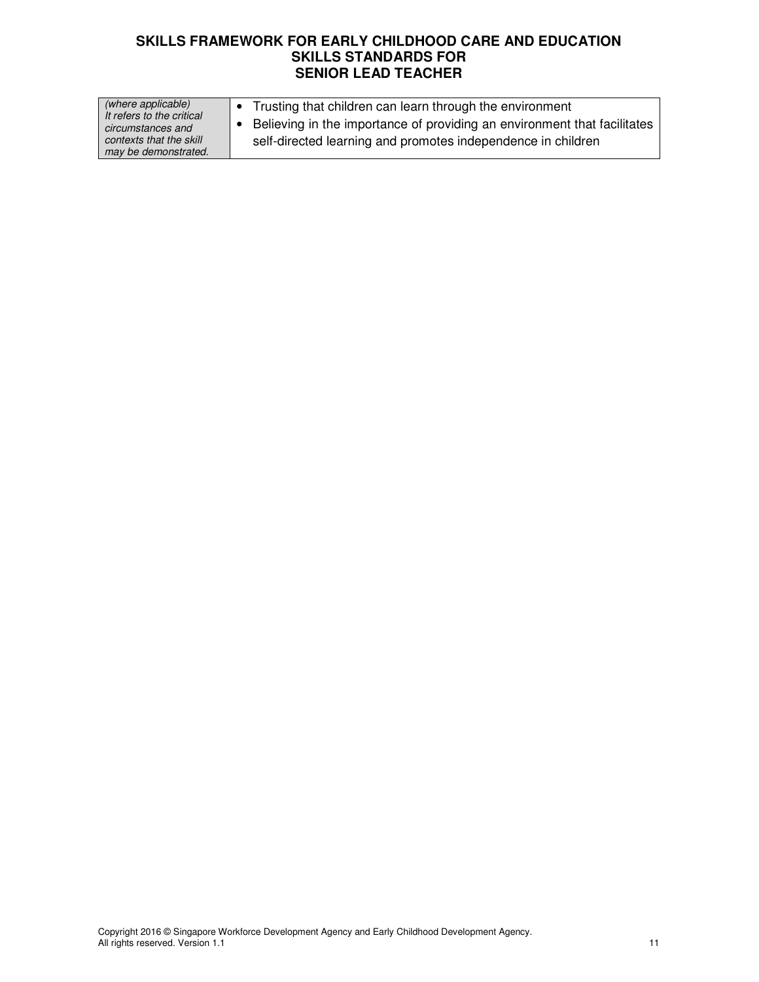| (where applicable)                             | Trusting that children can learn through the environment                 |
|------------------------------------------------|--------------------------------------------------------------------------|
| It refers to the critical<br>circumstances and | Believing in the importance of providing an environment that facilitates |
| contexts that the skill                        | self-directed learning and promotes independence in children             |
| may be demonstrated.                           |                                                                          |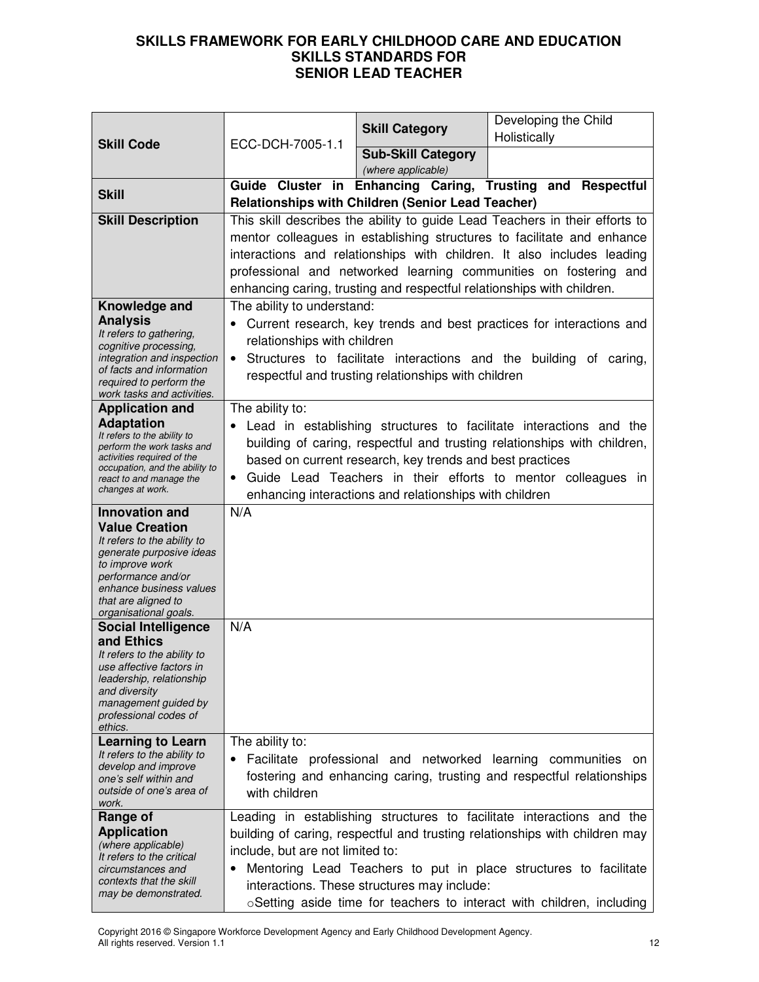|                                                           |                                                                                                                                       | <b>Skill Category</b>                                                  | Developing the Child                                                        |
|-----------------------------------------------------------|---------------------------------------------------------------------------------------------------------------------------------------|------------------------------------------------------------------------|-----------------------------------------------------------------------------|
| <b>Skill Code</b>                                         | ECC-DCH-7005-1.1                                                                                                                      |                                                                        | Holistically                                                                |
|                                                           |                                                                                                                                       | <b>Sub-Skill Category</b><br>(where applicable)                        |                                                                             |
| <b>Skill</b>                                              |                                                                                                                                       |                                                                        | Guide Cluster in Enhancing Caring, Trusting and Respectful                  |
|                                                           |                                                                                                                                       | <b>Relationships with Children (Senior Lead Teacher)</b>               |                                                                             |
| <b>Skill Description</b>                                  |                                                                                                                                       |                                                                        | This skill describes the ability to guide Lead Teachers in their efforts to |
|                                                           |                                                                                                                                       |                                                                        | mentor colleagues in establishing structures to facilitate and enhance      |
|                                                           |                                                                                                                                       |                                                                        | interactions and relationships with children. It also includes leading      |
|                                                           |                                                                                                                                       |                                                                        | professional and networked learning communities on fostering and            |
|                                                           |                                                                                                                                       | enhancing caring, trusting and respectful relationships with children. |                                                                             |
| Knowledge and<br><b>Analysis</b>                          | The ability to understand:                                                                                                            |                                                                        |                                                                             |
| It refers to gathering,                                   |                                                                                                                                       |                                                                        | Current research, key trends and best practices for interactions and        |
| cognitive processing,                                     | relationships with children                                                                                                           |                                                                        |                                                                             |
| integration and inspection<br>of facts and information    | $\bullet$                                                                                                                             |                                                                        | Structures to facilitate interactions and the building of caring,           |
| required to perform the                                   |                                                                                                                                       | respectful and trusting relationships with children                    |                                                                             |
| work tasks and activities.<br><b>Application and</b>      | The ability to:                                                                                                                       |                                                                        |                                                                             |
| <b>Adaptation</b>                                         |                                                                                                                                       |                                                                        | Lead in establishing structures to facilitate interactions and the          |
| It refers to the ability to<br>perform the work tasks and |                                                                                                                                       |                                                                        | building of caring, respectful and trusting relationships with children,    |
| activities required of the                                |                                                                                                                                       |                                                                        |                                                                             |
| occupation, and the ability to<br>react to and manage the | based on current research, key trends and best practices<br>Guide Lead Teachers in their efforts to mentor colleagues in<br>$\bullet$ |                                                                        |                                                                             |
| changes at work.                                          |                                                                                                                                       | enhancing interactions and relationships with children                 |                                                                             |
| <b>Innovation and</b>                                     | N/A                                                                                                                                   |                                                                        |                                                                             |
| <b>Value Creation</b>                                     |                                                                                                                                       |                                                                        |                                                                             |
| It refers to the ability to<br>generate purposive ideas   |                                                                                                                                       |                                                                        |                                                                             |
| to improve work                                           |                                                                                                                                       |                                                                        |                                                                             |
| performance and/or<br>enhance business values             |                                                                                                                                       |                                                                        |                                                                             |
| that are aligned to                                       |                                                                                                                                       |                                                                        |                                                                             |
| organisational goals.<br><b>Social Intelligence</b>       | N/A                                                                                                                                   |                                                                        |                                                                             |
| and Ethics                                                |                                                                                                                                       |                                                                        |                                                                             |
| It refers to the ability to                               |                                                                                                                                       |                                                                        |                                                                             |
| use affective factors in<br>leadership, relationship      |                                                                                                                                       |                                                                        |                                                                             |
| and diversity                                             |                                                                                                                                       |                                                                        |                                                                             |
| management guided by<br>professional codes of             |                                                                                                                                       |                                                                        |                                                                             |
| ethics.                                                   |                                                                                                                                       |                                                                        |                                                                             |
| <b>Learning to Learn</b><br>It refers to the ability to   | The ability to:                                                                                                                       |                                                                        |                                                                             |
| develop and improve                                       |                                                                                                                                       | Facilitate professional and networked learning                         | communities on                                                              |
| one's self within and<br>outside of one's area of         |                                                                                                                                       |                                                                        | fostering and enhancing caring, trusting and respectful relationships       |
| work.                                                     | with children                                                                                                                         |                                                                        |                                                                             |
| Range of                                                  |                                                                                                                                       |                                                                        | Leading in establishing structures to facilitate interactions and the       |
| <b>Application</b><br>(where applicable)                  |                                                                                                                                       |                                                                        | building of caring, respectful and trusting relationships with children may |
| It refers to the critical                                 | include, but are not limited to:                                                                                                      |                                                                        |                                                                             |
| circumstances and<br>contexts that the skill              |                                                                                                                                       |                                                                        | Mentoring Lead Teachers to put in place structures to facilitate            |
| may be demonstrated.                                      |                                                                                                                                       | interactions. These structures may include:                            |                                                                             |
|                                                           |                                                                                                                                       |                                                                        | oSetting aside time for teachers to interact with children, including       |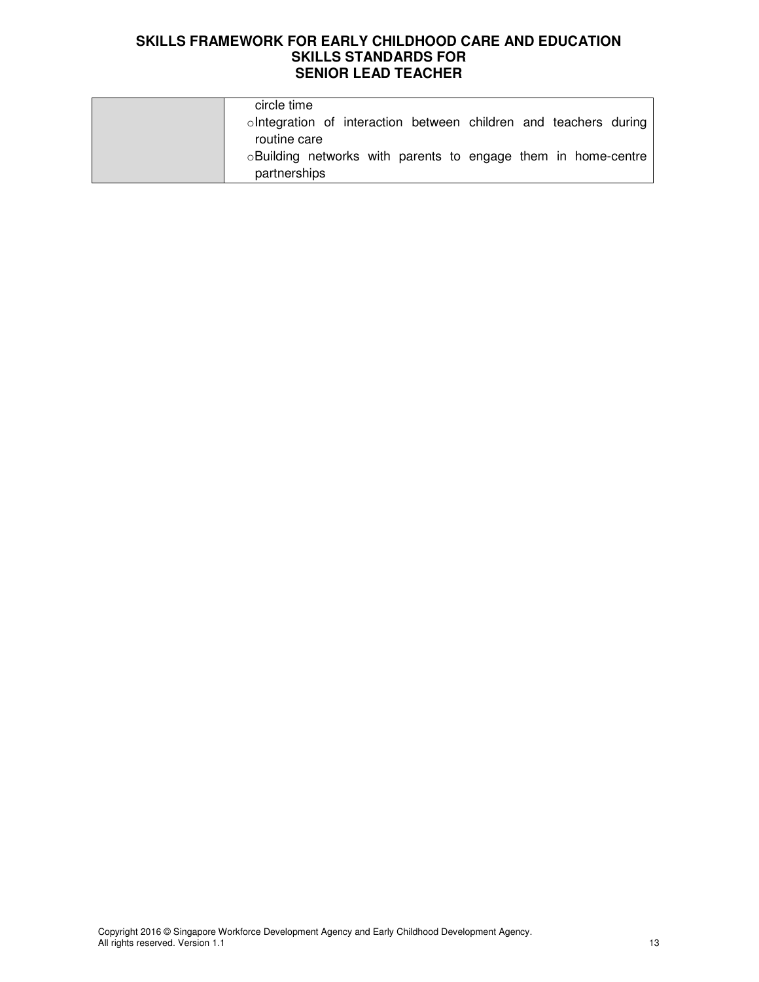| circle time                                                      |
|------------------------------------------------------------------|
| olntegration of interaction between children and teachers during |
| routine care                                                     |
| oBuilding networks with parents to engage them in home-centre    |
| partnerships                                                     |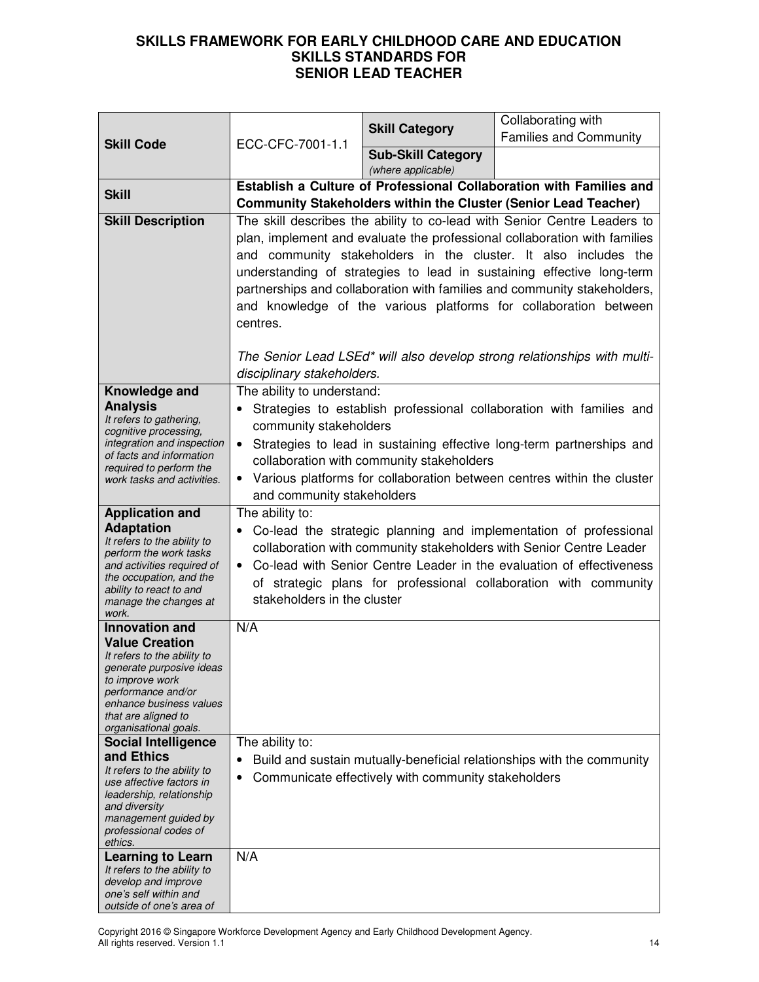|                                                                                                                                                                                                                                                                                                         | ECC-CFC-7001-1.1                                                                                                                                                                                                                                                                                                                                                                                                                                                                                                                                                                                                                                                                                                         | <b>Skill Category</b>                               | Collaborating with<br><b>Families and Community</b>                    |
|---------------------------------------------------------------------------------------------------------------------------------------------------------------------------------------------------------------------------------------------------------------------------------------------------------|--------------------------------------------------------------------------------------------------------------------------------------------------------------------------------------------------------------------------------------------------------------------------------------------------------------------------------------------------------------------------------------------------------------------------------------------------------------------------------------------------------------------------------------------------------------------------------------------------------------------------------------------------------------------------------------------------------------------------|-----------------------------------------------------|------------------------------------------------------------------------|
| <b>Skill Code</b>                                                                                                                                                                                                                                                                                       |                                                                                                                                                                                                                                                                                                                                                                                                                                                                                                                                                                                                                                                                                                                          | <b>Sub-Skill Category</b><br>(where applicable)     |                                                                        |
| <b>Skill</b><br><b>Skill Description</b>                                                                                                                                                                                                                                                                | Establish a Culture of Professional Collaboration with Families and<br><b>Community Stakeholders within the Cluster (Senior Lead Teacher)</b><br>The skill describes the ability to co-lead with Senior Centre Leaders to<br>plan, implement and evaluate the professional collaboration with families<br>and community stakeholders in the cluster. It also includes the<br>understanding of strategies to lead in sustaining effective long-term<br>partnerships and collaboration with families and community stakeholders,<br>and knowledge of the various platforms for collaboration between<br>centres.<br>The Senior Lead LSEd* will also develop strong relationships with multi-<br>disciplinary stakeholders. |                                                     |                                                                        |
| Knowledge and<br><b>Analysis</b><br>It refers to gathering,<br>cognitive processing,<br>integration and inspection<br>of facts and information<br>required to perform the<br>work tasks and activities.                                                                                                 | The ability to understand:<br>Strategies to establish professional collaboration with families and<br>$\bullet$<br>community stakeholders<br>Strategies to lead in sustaining effective long-term partnerships and<br>$\bullet$<br>collaboration with community stakeholders<br>Various platforms for collaboration between centres within the cluster<br>$\bullet$<br>and community stakeholders                                                                                                                                                                                                                                                                                                                        |                                                     |                                                                        |
| <b>Application and</b><br><b>Adaptation</b><br>It refers to the ability to<br>perform the work tasks<br>and activities required of<br>the occupation, and the<br>ability to react to and<br>manage the changes at<br>work.                                                                              | The ability to:<br>• Co-lead the strategic planning and implementation of professional<br>collaboration with community stakeholders with Senior Centre Leader<br>Co-lead with Senior Centre Leader in the evaluation of effectiveness<br>$\bullet$<br>of strategic plans for professional collaboration with community<br>stakeholders in the cluster                                                                                                                                                                                                                                                                                                                                                                    |                                                     |                                                                        |
| <b>Innovation and</b><br><b>Value Creation</b><br>It refers to the ability to<br>generate purposive ideas<br>to improve work<br>performance and/or<br>enhance business values<br>that are aligned to<br>organisational goals.<br><b>Social Intelligence</b><br>and Ethics                               | N/A<br>The ability to:                                                                                                                                                                                                                                                                                                                                                                                                                                                                                                                                                                                                                                                                                                   |                                                     | Build and sustain mutually-beneficial relationships with the community |
| It refers to the ability to<br>use affective factors in<br>leadership, relationship<br>and diversity<br>management guided by<br>professional codes of<br>ethics.<br><b>Learning to Learn</b><br>It refers to the ability to<br>develop and improve<br>one's self within and<br>outside of one's area of | $\bullet$<br>N/A                                                                                                                                                                                                                                                                                                                                                                                                                                                                                                                                                                                                                                                                                                         | Communicate effectively with community stakeholders |                                                                        |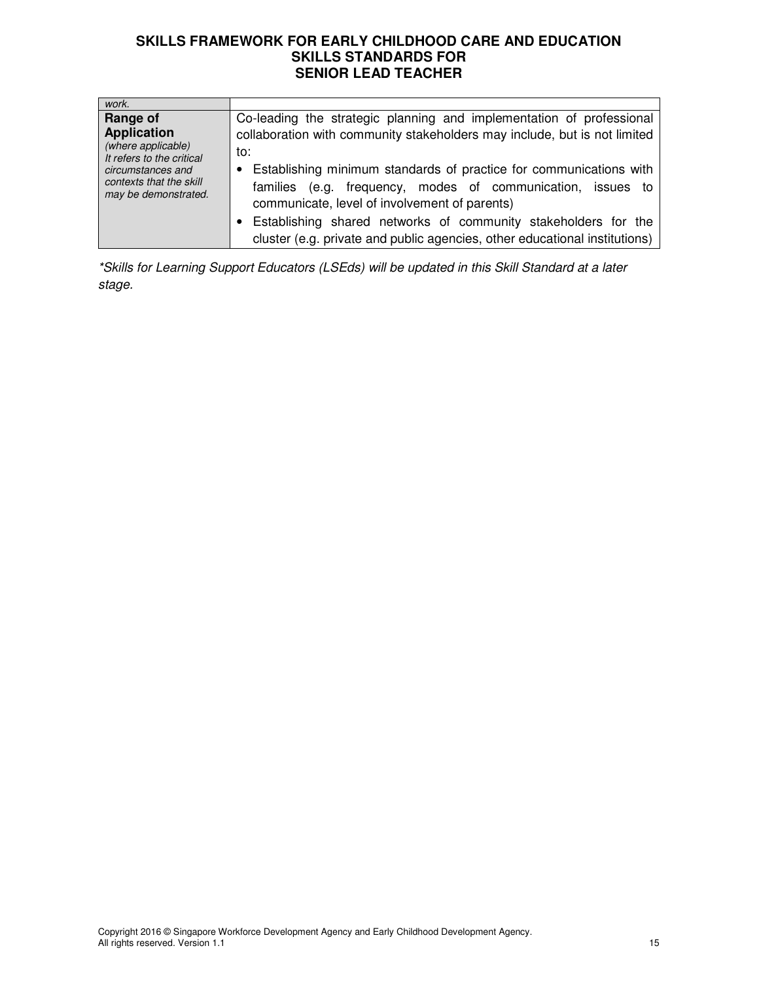| work.                                                                |                                                                            |
|----------------------------------------------------------------------|----------------------------------------------------------------------------|
| Range of                                                             | Co-leading the strategic planning and implementation of professional       |
| <b>Application</b>                                                   | collaboration with community stakeholders may include, but is not limited  |
| (where applicable)<br>It refers to the critical                      | to:                                                                        |
| circumstances and<br>contexts that the skill<br>may be demonstrated. | Establishing minimum standards of practice for communications with         |
|                                                                      | (e.g. frequency, modes of communication, issues to<br>families             |
|                                                                      | communicate, level of involvement of parents)                              |
|                                                                      | Establishing shared networks of community stakeholders for the             |
|                                                                      | cluster (e.g. private and public agencies, other educational institutions) |

\*Skills for Learning Support Educators (LSEds) will be updated in this Skill Standard at a later stage.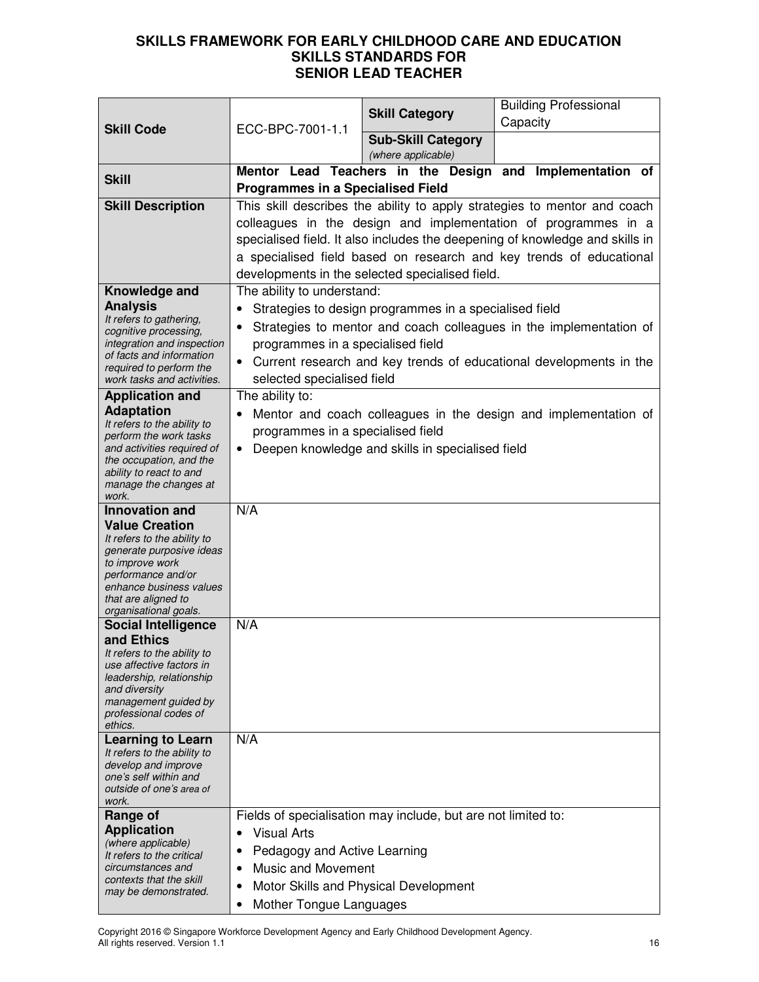|                                                                                                                                                                                                      |                                                                                                                                                                                                                                                                                                                                                      |                                                               | <b>Building Professional</b>                                                                                                             |
|------------------------------------------------------------------------------------------------------------------------------------------------------------------------------------------------------|------------------------------------------------------------------------------------------------------------------------------------------------------------------------------------------------------------------------------------------------------------------------------------------------------------------------------------------------------|---------------------------------------------------------------|------------------------------------------------------------------------------------------------------------------------------------------|
| <b>Skill Code</b>                                                                                                                                                                                    | ECC-BPC-7001-1.1                                                                                                                                                                                                                                                                                                                                     | <b>Skill Category</b>                                         | Capacity                                                                                                                                 |
|                                                                                                                                                                                                      |                                                                                                                                                                                                                                                                                                                                                      | <b>Sub-Skill Category</b><br>(where applicable)               |                                                                                                                                          |
| <b>Skill</b>                                                                                                                                                                                         |                                                                                                                                                                                                                                                                                                                                                      |                                                               | Mentor Lead Teachers in the Design and Implementation of                                                                                 |
|                                                                                                                                                                                                      | <b>Programmes in a Specialised Field</b>                                                                                                                                                                                                                                                                                                             |                                                               |                                                                                                                                          |
| <b>Skill Description</b>                                                                                                                                                                             | This skill describes the ability to apply strategies to mentor and coach<br>colleagues in the design and implementation of programmes in a<br>specialised field. It also includes the deepening of knowledge and skills in<br>a specialised field based on research and key trends of educational<br>developments in the selected specialised field. |                                                               |                                                                                                                                          |
| Knowledge and                                                                                                                                                                                        | The ability to understand:                                                                                                                                                                                                                                                                                                                           |                                                               |                                                                                                                                          |
| <b>Analysis</b><br>It refers to gathering,<br>cognitive processing,<br>integration and inspection<br>of facts and information<br>required to perform the<br>work tasks and activities.               | $\bullet$<br>programmes in a specialised field<br>selected specialised field                                                                                                                                                                                                                                                                         | Strategies to design programmes in a specialised field        | Strategies to mentor and coach colleagues in the implementation of<br>Current research and key trends of educational developments in the |
| <b>Application and</b>                                                                                                                                                                               | The ability to:                                                                                                                                                                                                                                                                                                                                      |                                                               |                                                                                                                                          |
| <b>Adaptation</b><br>It refers to the ability to<br>perform the work tasks<br>and activities required of<br>the occupation, and the<br>ability to react to and<br>manage the changes at<br>work.     | programmes in a specialised field<br>$\bullet$                                                                                                                                                                                                                                                                                                       | Deepen knowledge and skills in specialised field              | Mentor and coach colleagues in the design and implementation of                                                                          |
| <b>Innovation and</b>                                                                                                                                                                                | N/A                                                                                                                                                                                                                                                                                                                                                  |                                                               |                                                                                                                                          |
| <b>Value Creation</b><br>It refers to the ability to<br>generate purposive ideas<br>to improve work<br>performance and/or<br>enhance business values<br>that are aligned to<br>organisational goals. |                                                                                                                                                                                                                                                                                                                                                      |                                                               |                                                                                                                                          |
| <b>Social Intelligence</b>                                                                                                                                                                           | N/A                                                                                                                                                                                                                                                                                                                                                  |                                                               |                                                                                                                                          |
| and Ethics<br>It refers to the ability to<br>use affective factors in<br>leadership, relationship<br>and diversity<br>management guided by<br>professional codes of<br>ethics.                       |                                                                                                                                                                                                                                                                                                                                                      |                                                               |                                                                                                                                          |
| <b>Learning to Learn</b>                                                                                                                                                                             | N/A                                                                                                                                                                                                                                                                                                                                                  |                                                               |                                                                                                                                          |
| It refers to the ability to<br>develop and improve<br>one's self within and<br>outside of one's area of<br>work.                                                                                     |                                                                                                                                                                                                                                                                                                                                                      |                                                               |                                                                                                                                          |
| Range of                                                                                                                                                                                             |                                                                                                                                                                                                                                                                                                                                                      | Fields of specialisation may include, but are not limited to: |                                                                                                                                          |
| <b>Application</b><br>(where applicable)<br>It refers to the critical<br>circumstances and<br>contexts that the skill<br>may be demonstrated.                                                        | <b>Visual Arts</b><br>$\bullet$<br>Pedagogy and Active Learning<br>٠<br><b>Music and Movement</b><br>٠<br>$\bullet$<br>Mother Tongue Languages<br>$\bullet$                                                                                                                                                                                          | Motor Skills and Physical Development                         |                                                                                                                                          |

Copyright 2016 © Singapore Workforce Development Agency and Early Childhood Development Agency. All rights reserved. Version 1.1 16 and 2012 12:00 the series of the series of the series of the series of the series of the series of the series of the series of the series of the series of the series of the series of the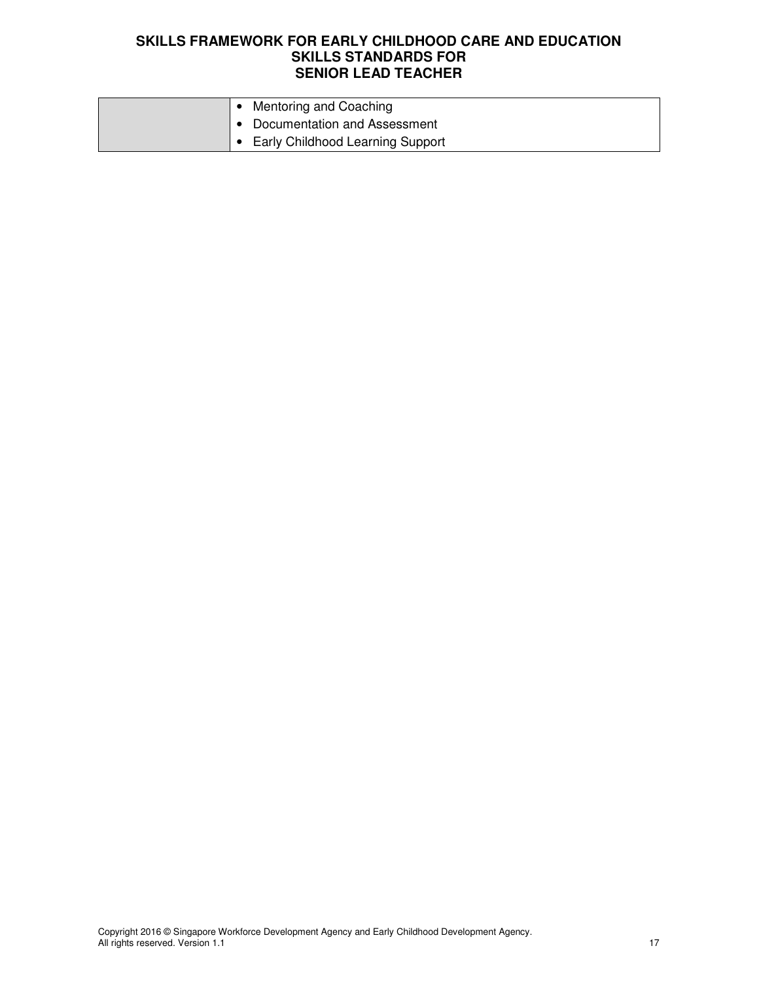| Mentoring and Coaching             |
|------------------------------------|
| • Documentation and Assessment     |
| • Early Childhood Learning Support |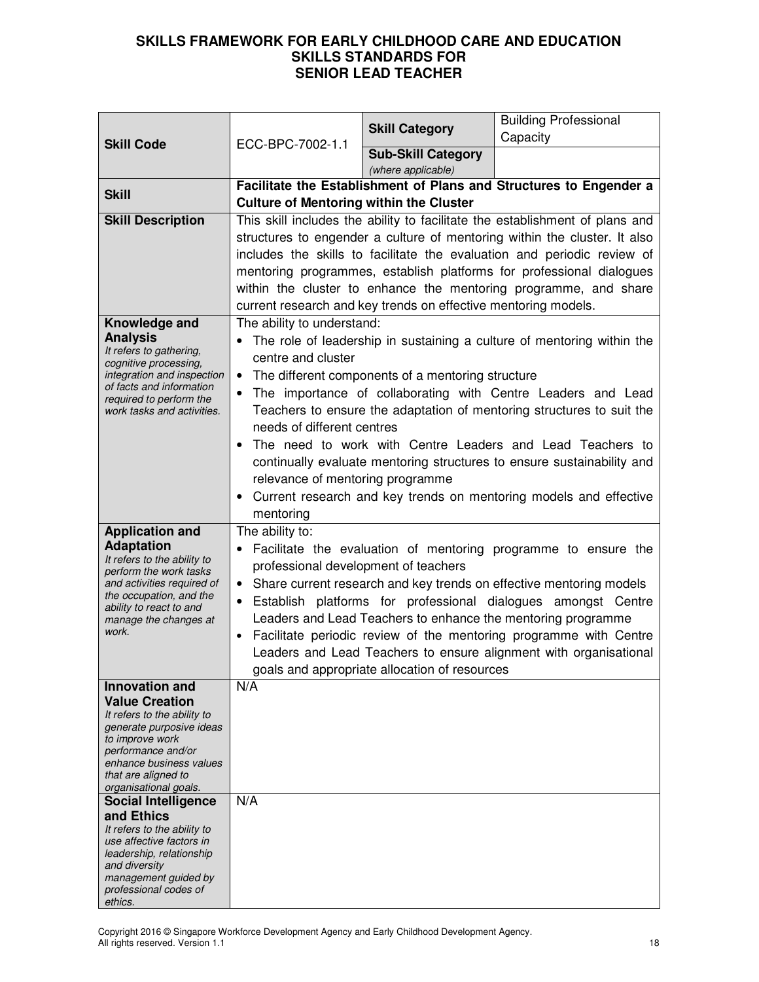|                                                                                                                                                                                                                               | ECC-BPC-7002-1.1                                                                                                                                                                                                                                                                                                                                                                                                                                                                                                                            | <b>Skill Category</b>                             | <b>Building Professional</b><br>Capacity                                                                                                                                                                                                                                                                                                                                                                                    |
|-------------------------------------------------------------------------------------------------------------------------------------------------------------------------------------------------------------------------------|---------------------------------------------------------------------------------------------------------------------------------------------------------------------------------------------------------------------------------------------------------------------------------------------------------------------------------------------------------------------------------------------------------------------------------------------------------------------------------------------------------------------------------------------|---------------------------------------------------|-----------------------------------------------------------------------------------------------------------------------------------------------------------------------------------------------------------------------------------------------------------------------------------------------------------------------------------------------------------------------------------------------------------------------------|
| <b>Skill Code</b>                                                                                                                                                                                                             |                                                                                                                                                                                                                                                                                                                                                                                                                                                                                                                                             | <b>Sub-Skill Category</b>                         |                                                                                                                                                                                                                                                                                                                                                                                                                             |
| <b>Skill</b>                                                                                                                                                                                                                  | (where applicable)<br>Facilitate the Establishment of Plans and Structures to Engender a<br><b>Culture of Mentoring within the Cluster</b>                                                                                                                                                                                                                                                                                                                                                                                                  |                                                   |                                                                                                                                                                                                                                                                                                                                                                                                                             |
| <b>Skill Description</b>                                                                                                                                                                                                      | This skill includes the ability to facilitate the establishment of plans and<br>structures to engender a culture of mentoring within the cluster. It also<br>includes the skills to facilitate the evaluation and periodic review of<br>mentoring programmes, establish platforms for professional dialogues<br>within the cluster to enhance the mentoring programme, and share<br>current research and key trends on effective mentoring models.                                                                                          |                                                   |                                                                                                                                                                                                                                                                                                                                                                                                                             |
| Knowledge and<br><b>Analysis</b><br>It refers to gathering,<br>cognitive processing,<br>integration and inspection<br>of facts and information<br>required to perform the<br>work tasks and activities.                       | The ability to understand:<br>centre and cluster<br>$\bullet$<br>needs of different centres<br>relevance of mentoring programme<br>$\bullet$<br>mentoring                                                                                                                                                                                                                                                                                                                                                                                   | The different components of a mentoring structure | The role of leadership in sustaining a culture of mentoring within the<br>The importance of collaborating with Centre Leaders and Lead<br>Teachers to ensure the adaptation of mentoring structures to suit the<br>The need to work with Centre Leaders and Lead Teachers to<br>continually evaluate mentoring structures to ensure sustainability and<br>Current research and key trends on mentoring models and effective |
| <b>Application and</b><br><b>Adaptation</b><br>It refers to the ability to<br>perform the work tasks<br>and activities required of<br>the occupation, and the<br>ability to react to and<br>manage the changes at<br>work.    | The ability to:<br>Facilitate the evaluation of mentoring programme to ensure the<br>professional development of teachers<br>• Share current research and key trends on effective mentoring models<br>Establish platforms for professional dialogues amongst Centre<br>Leaders and Lead Teachers to enhance the mentoring programme<br>Facilitate periodic review of the mentoring programme with Centre<br>$\bullet$<br>Leaders and Lead Teachers to ensure alignment with organisational<br>goals and appropriate allocation of resources |                                                   |                                                                                                                                                                                                                                                                                                                                                                                                                             |
| <b>Innovation and</b><br><b>Value Creation</b><br>It refers to the ability to<br>generate purposive ideas<br>to improve work<br>performance and/or<br>enhance business values<br>that are aligned to<br>organisational goals. | N/A                                                                                                                                                                                                                                                                                                                                                                                                                                                                                                                                         |                                                   |                                                                                                                                                                                                                                                                                                                                                                                                                             |
| <b>Social Intelligence</b><br>and Ethics<br>It refers to the ability to<br>use affective factors in<br>leadership, relationship<br>and diversity<br>management guided by<br>professional codes of<br>ethics.                  | N/A                                                                                                                                                                                                                                                                                                                                                                                                                                                                                                                                         |                                                   |                                                                                                                                                                                                                                                                                                                                                                                                                             |

Copyright 2016 © Singapore Workforce Development Agency and Early Childhood Development Agency. All rights reserved. Version 1.1 1888 - 1889 - 1889 - 1889 - 1889 - 1889 - 1889 - 1889 - 1889 - 1889 - 1889 - 1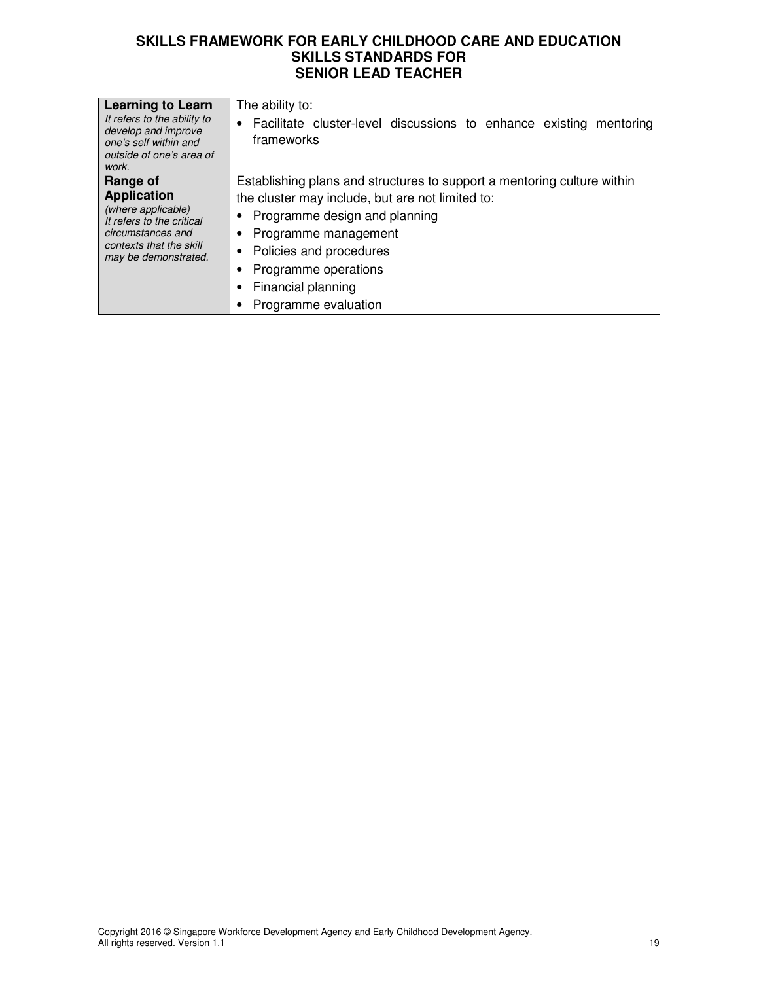| <b>Learning to Learn</b><br>It refers to the ability to<br>develop and improve<br>one's self within and<br>outside of one's area of<br>work.              | The ability to:<br>Facilitate cluster-level discussions to enhance existing mentoring<br>frameworks                                                                                                                                                                                        |
|-----------------------------------------------------------------------------------------------------------------------------------------------------------|--------------------------------------------------------------------------------------------------------------------------------------------------------------------------------------------------------------------------------------------------------------------------------------------|
| Range of<br><b>Application</b><br>(where applicable)<br>It refers to the critical<br>circumstances and<br>contexts that the skill<br>may be demonstrated. | Establishing plans and structures to support a mentoring culture within<br>the cluster may include, but are not limited to:<br>Programme design and planning<br>Programme management<br>Policies and procedures<br>٠<br>Programme operations<br>Financial planning<br>Programme evaluation |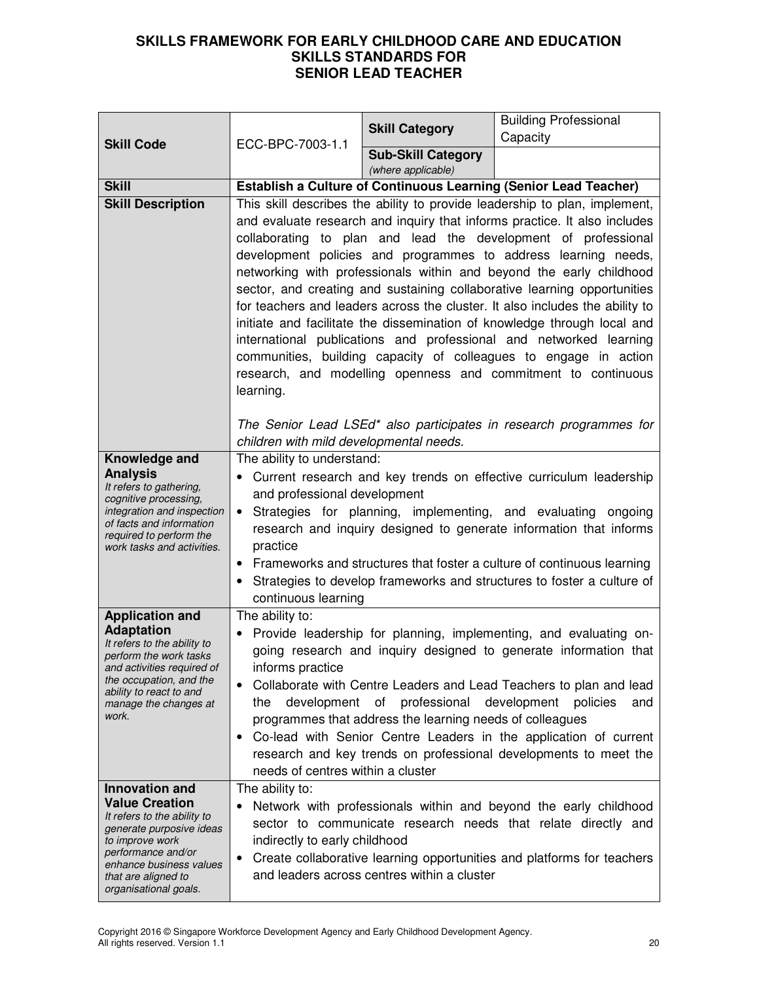|                                                                                                                                                                                                                               | ECC-BPC-7003-1.1                                                                                                                                                                                                                                                                                                                                                                                                                                                                                                                                                                                                                                                                                                                                                                                                                   |                                                 | <b>Building Professional</b>                                                                                                                                                                                |
|-------------------------------------------------------------------------------------------------------------------------------------------------------------------------------------------------------------------------------|------------------------------------------------------------------------------------------------------------------------------------------------------------------------------------------------------------------------------------------------------------------------------------------------------------------------------------------------------------------------------------------------------------------------------------------------------------------------------------------------------------------------------------------------------------------------------------------------------------------------------------------------------------------------------------------------------------------------------------------------------------------------------------------------------------------------------------|-------------------------------------------------|-------------------------------------------------------------------------------------------------------------------------------------------------------------------------------------------------------------|
| <b>Skill Code</b>                                                                                                                                                                                                             |                                                                                                                                                                                                                                                                                                                                                                                                                                                                                                                                                                                                                                                                                                                                                                                                                                    | <b>Skill Category</b>                           | Capacity                                                                                                                                                                                                    |
|                                                                                                                                                                                                                               |                                                                                                                                                                                                                                                                                                                                                                                                                                                                                                                                                                                                                                                                                                                                                                                                                                    | <b>Sub-Skill Category</b><br>(where applicable) |                                                                                                                                                                                                             |
| <b>Skill</b>                                                                                                                                                                                                                  | <b>Establish a Culture of Continuous Learning (Senior Lead Teacher)</b>                                                                                                                                                                                                                                                                                                                                                                                                                                                                                                                                                                                                                                                                                                                                                            |                                                 |                                                                                                                                                                                                             |
| <b>Skill Description</b>                                                                                                                                                                                                      | This skill describes the ability to provide leadership to plan, implement,<br>and evaluate research and inquiry that informs practice. It also includes<br>collaborating to plan and lead the development of professional<br>development policies and programmes to address learning needs,<br>networking with professionals within and beyond the early childhood<br>sector, and creating and sustaining collaborative learning opportunities<br>for teachers and leaders across the cluster. It also includes the ability to<br>initiate and facilitate the dissemination of knowledge through local and<br>international publications and professional and networked learning<br>communities, building capacity of colleagues to engage in action<br>research, and modelling openness and commitment to continuous<br>learning. |                                                 |                                                                                                                                                                                                             |
|                                                                                                                                                                                                                               | children with mild developmental needs.                                                                                                                                                                                                                                                                                                                                                                                                                                                                                                                                                                                                                                                                                                                                                                                            |                                                 | The Senior Lead LSEd* also participates in research programmes for                                                                                                                                          |
| Knowledge and<br><b>Analysis</b><br>It refers to gathering,<br>cognitive processing,<br>integration and inspection<br>of facts and information<br>required to perform the<br>work tasks and activities.                       | The ability to understand:<br>Current research and key trends on effective curriculum leadership<br>and professional development<br>Strategies for planning, implementing, and evaluating ongoing<br>$\bullet$<br>research and inquiry designed to generate information that informs<br>practice<br>• Frameworks and structures that foster a culture of continuous learning<br>Strategies to develop frameworks and structures to foster a culture of<br>continuous learning                                                                                                                                                                                                                                                                                                                                                      |                                                 |                                                                                                                                                                                                             |
| <b>Application and</b><br><b>Adaptation</b><br>It refers to the ability to<br>perform the work tasks<br>and activities required of<br>the occupation, and the<br>ability to react to and<br>manage the changes at<br>work.    | The ability to:<br>Provide leadership for planning, implementing, and evaluating on-<br>٠<br>going research and inquiry designed to generate information that<br>informs practice<br>Collaborate with Centre Leaders and Lead Teachers to plan and lead<br>professional<br>development<br>development<br>of<br>policies<br>the<br>and<br>programmes that address the learning needs of colleagues<br>Co-lead with Senior Centre Leaders in the application of current<br>research and key trends on professional developments to meet the<br>needs of centres within a cluster                                                                                                                                                                                                                                                     |                                                 |                                                                                                                                                                                                             |
| <b>Innovation and</b><br><b>Value Creation</b><br>It refers to the ability to<br>generate purposive ideas<br>to improve work<br>performance and/or<br>enhance business values<br>that are aligned to<br>organisational goals. | The ability to:<br>indirectly to early childhood                                                                                                                                                                                                                                                                                                                                                                                                                                                                                                                                                                                                                                                                                                                                                                                   | and leaders across centres within a cluster     | Network with professionals within and beyond the early childhood<br>sector to communicate research needs that relate directly and<br>Create collaborative learning opportunities and platforms for teachers |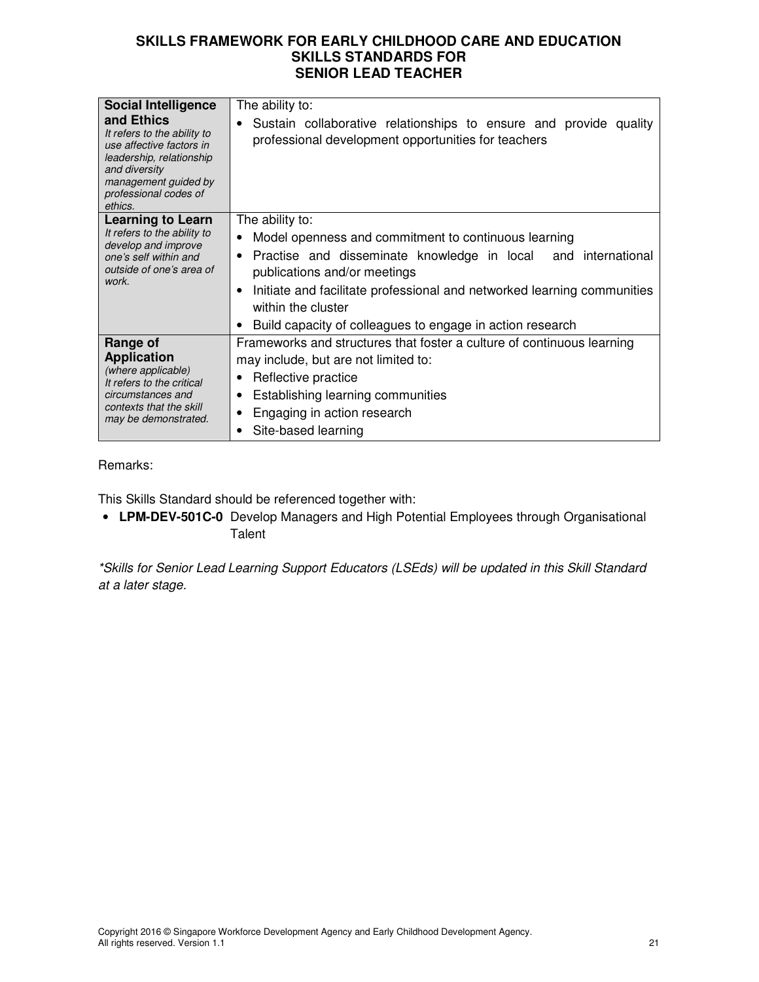| <b>Social Intelligence</b><br>and Ethics<br>It refers to the ability to<br>use affective factors in<br>leadership, relationship<br>and diversity<br>management guided by<br>professional codes of<br>ethics. | The ability to:<br>Sustain collaborative relationships to ensure and provide quality<br>$\bullet$<br>professional development opportunities for teachers                                                                                                                                                                                                      |
|--------------------------------------------------------------------------------------------------------------------------------------------------------------------------------------------------------------|---------------------------------------------------------------------------------------------------------------------------------------------------------------------------------------------------------------------------------------------------------------------------------------------------------------------------------------------------------------|
| <b>Learning to Learn</b><br>It refers to the ability to<br>develop and improve<br>one's self within and<br>outside of one's area of<br>work.                                                                 | The ability to:<br>Model openness and commitment to continuous learning<br>Practise and disseminate knowledge in local and international<br>$\bullet$<br>publications and/or meetings<br>Initiate and facilitate professional and networked learning communities<br>٠<br>within the cluster<br>Build capacity of colleagues to engage in action research<br>٠ |
| Range of<br><b>Application</b><br>(where applicable)<br>It refers to the critical<br>circumstances and<br>contexts that the skill<br>may be demonstrated.                                                    | Frameworks and structures that foster a culture of continuous learning<br>may include, but are not limited to:<br>Reflective practice<br>٠<br>Establishing learning communities<br>٠<br>Engaging in action research<br>٠<br>Site-based learning<br>٠                                                                                                          |

Remarks:

This Skills Standard should be referenced together with:

• **LPM-DEV-501C-0** Develop Managers and High Potential Employees through Organisational **Talent** 

\*Skills for Senior Lead Learning Support Educators (LSEds) will be updated in this Skill Standard at a later stage.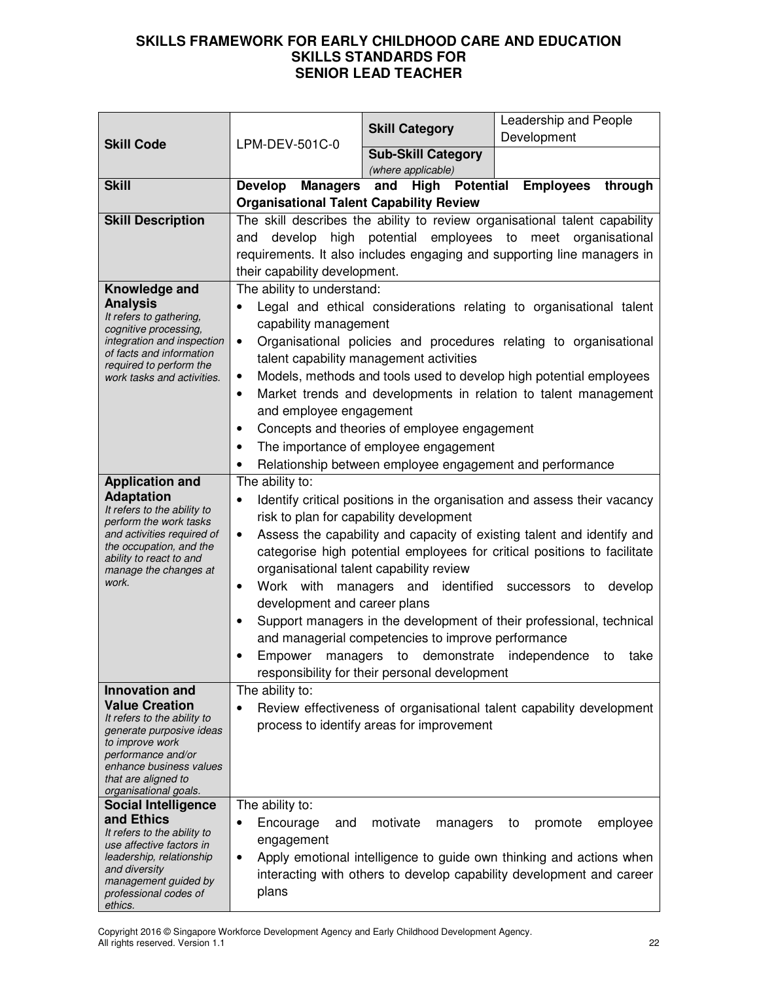|                                                                                                                                                                                                                               | LPM-DEV-501C-0                                                                                                                                                                                                                                                                                                                                                                                                                                                                                                                                                                                                                                                                                                                                     | <b>Skill Category</b>                                                                                                                                                                        | Leadership and People<br>Development                                                                                                                                                                                                                                             |
|-------------------------------------------------------------------------------------------------------------------------------------------------------------------------------------------------------------------------------|----------------------------------------------------------------------------------------------------------------------------------------------------------------------------------------------------------------------------------------------------------------------------------------------------------------------------------------------------------------------------------------------------------------------------------------------------------------------------------------------------------------------------------------------------------------------------------------------------------------------------------------------------------------------------------------------------------------------------------------------------|----------------------------------------------------------------------------------------------------------------------------------------------------------------------------------------------|----------------------------------------------------------------------------------------------------------------------------------------------------------------------------------------------------------------------------------------------------------------------------------|
| <b>Skill Code</b>                                                                                                                                                                                                             |                                                                                                                                                                                                                                                                                                                                                                                                                                                                                                                                                                                                                                                                                                                                                    | <b>Sub-Skill Category</b>                                                                                                                                                                    |                                                                                                                                                                                                                                                                                  |
| <b>Skill</b>                                                                                                                                                                                                                  | <b>Develop</b><br><b>Managers</b>                                                                                                                                                                                                                                                                                                                                                                                                                                                                                                                                                                                                                                                                                                                  | (where applicable)<br><b>High Potential</b><br>and                                                                                                                                           | <b>Employees</b><br>through                                                                                                                                                                                                                                                      |
|                                                                                                                                                                                                                               | <b>Organisational Talent Capability Review</b>                                                                                                                                                                                                                                                                                                                                                                                                                                                                                                                                                                                                                                                                                                     |                                                                                                                                                                                              |                                                                                                                                                                                                                                                                                  |
| <b>Skill Description</b>                                                                                                                                                                                                      | The skill describes the ability to review organisational talent capability<br>develop<br>high potential employees to meet organisational<br>and<br>requirements. It also includes engaging and supporting line managers in<br>their capability development.                                                                                                                                                                                                                                                                                                                                                                                                                                                                                        |                                                                                                                                                                                              |                                                                                                                                                                                                                                                                                  |
| Knowledge and<br><b>Analysis</b><br>It refers to gathering,<br>cognitive processing,<br>integration and inspection<br>of facts and information<br>required to perform the<br>work tasks and activities.                       | The ability to understand:<br>$\bullet$<br>capability management<br>$\bullet$<br>$\bullet$<br>$\bullet$<br>and employee engagement<br>٠                                                                                                                                                                                                                                                                                                                                                                                                                                                                                                                                                                                                            | talent capability management activities<br>Concepts and theories of employee engagement<br>The importance of employee engagement<br>Relationship between employee engagement and performance | Legal and ethical considerations relating to organisational talent<br>Organisational policies and procedures relating to organisational<br>Models, methods and tools used to develop high potential employees<br>Market trends and developments in relation to talent management |
| <b>Application and</b><br><b>Adaptation</b><br>It refers to the ability to<br>perform the work tasks<br>and activities required of<br>the occupation, and the<br>ability to react to and<br>manage the changes at<br>work.    | The ability to:<br>Identify critical positions in the organisation and assess their vacancy<br>$\bullet$<br>risk to plan for capability development<br>Assess the capability and capacity of existing talent and identify and<br>$\bullet$<br>categorise high potential employees for critical positions to facilitate<br>organisational talent capability review<br>Work with<br>managers and<br>identified successors<br>develop<br>to<br>$\bullet$<br>development and career plans<br>Support managers in the development of their professional, technical<br>$\bullet$<br>and managerial competencies to improve performance<br>managers to demonstrate independence<br>Empower<br>take<br>to<br>responsibility for their personal development |                                                                                                                                                                                              |                                                                                                                                                                                                                                                                                  |
| <b>Innovation and</b><br><b>Value Creation</b><br>It refers to the ability to<br>generate purposive ideas<br>to improve work<br>performance and/or<br>enhance business values<br>that are aligned to<br>organisational goals. | The ability to:<br>$\bullet$                                                                                                                                                                                                                                                                                                                                                                                                                                                                                                                                                                                                                                                                                                                       | process to identify areas for improvement                                                                                                                                                    | Review effectiveness of organisational talent capability development                                                                                                                                                                                                             |
| <b>Social Intelligence</b><br>and Ethics<br>It refers to the ability to<br>use affective factors in<br>leadership, relationship<br>and diversity<br>management guided by<br>professional codes of<br>ethics.                  | The ability to:<br>Encourage<br>and<br>٠<br>engagement<br>$\bullet$<br>plans                                                                                                                                                                                                                                                                                                                                                                                                                                                                                                                                                                                                                                                                       | motivate<br>managers                                                                                                                                                                         | promote<br>employee<br>to<br>Apply emotional intelligence to guide own thinking and actions when<br>interacting with others to develop capability development and career                                                                                                         |

Copyright 2016 © Singapore Workforce Development Agency and Early Childhood Development Agency. All rights reserved. Version 1.1 22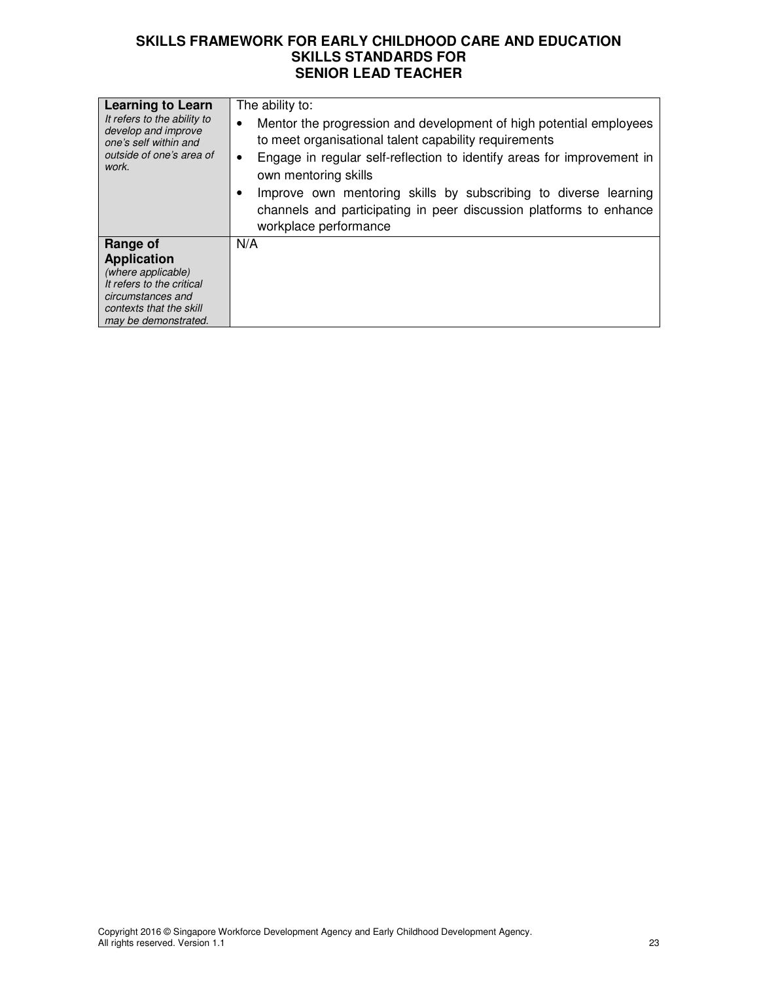| <b>Learning to Learn</b><br>It refers to the ability to<br>develop and improve<br>one's self within and<br>outside of one's area of<br>work.              | The ability to:<br>Mentor the progression and development of high potential employees<br>٠<br>to meet organisational talent capability requirements<br>Engage in regular self-reflection to identify areas for improvement in<br>٠<br>own mentoring skills<br>Improve own mentoring skills by subscribing to diverse learning<br>channels and participating in peer discussion platforms to enhance<br>workplace performance |
|-----------------------------------------------------------------------------------------------------------------------------------------------------------|------------------------------------------------------------------------------------------------------------------------------------------------------------------------------------------------------------------------------------------------------------------------------------------------------------------------------------------------------------------------------------------------------------------------------|
| Range of<br><b>Application</b><br>(where applicable)<br>It refers to the critical<br>circumstances and<br>contexts that the skill<br>may be demonstrated. | N/A                                                                                                                                                                                                                                                                                                                                                                                                                          |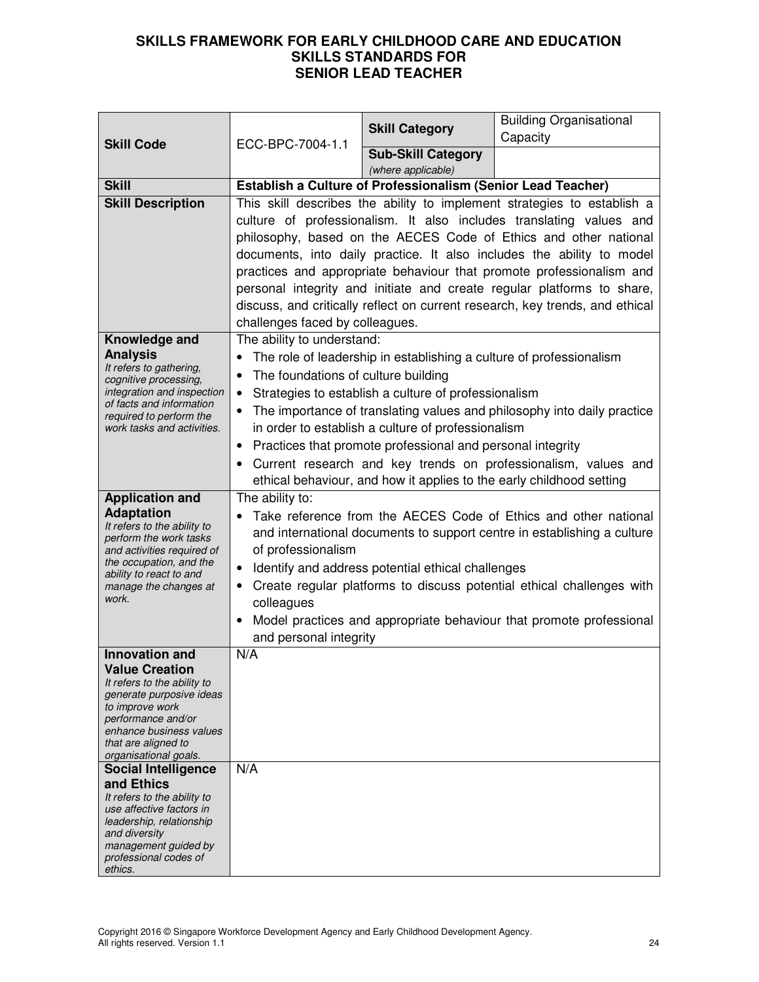| <b>Skill Code</b>                                                                                                                                                                                                                                                         | ECC-BPC-7004-1.1                                                                                                                                                                                                                                                                                                                                                                                                                                                                                                                                                                                           | <b>Skill Category</b>                                        | <b>Building Organisational</b><br>Capacity |
|---------------------------------------------------------------------------------------------------------------------------------------------------------------------------------------------------------------------------------------------------------------------------|------------------------------------------------------------------------------------------------------------------------------------------------------------------------------------------------------------------------------------------------------------------------------------------------------------------------------------------------------------------------------------------------------------------------------------------------------------------------------------------------------------------------------------------------------------------------------------------------------------|--------------------------------------------------------------|--------------------------------------------|
|                                                                                                                                                                                                                                                                           |                                                                                                                                                                                                                                                                                                                                                                                                                                                                                                                                                                                                            | <b>Sub-Skill Category</b><br>(where applicable)              |                                            |
| <b>Skill</b>                                                                                                                                                                                                                                                              |                                                                                                                                                                                                                                                                                                                                                                                                                                                                                                                                                                                                            | Establish a Culture of Professionalism (Senior Lead Teacher) |                                            |
| <b>Skill Description</b>                                                                                                                                                                                                                                                  | This skill describes the ability to implement strategies to establish a<br>culture of professionalism. It also includes translating values and<br>philosophy, based on the AECES Code of Ethics and other national<br>documents, into daily practice. It also includes the ability to model<br>practices and appropriate behaviour that promote professionalism and<br>personal integrity and initiate and create regular platforms to share,<br>discuss, and critically reflect on current research, key trends, and ethical<br>challenges faced by colleagues.                                           |                                                              |                                            |
| Knowledge and<br><b>Analysis</b><br>It refers to gathering,<br>cognitive processing,<br>integration and inspection<br>of facts and information<br>required to perform the<br>work tasks and activities.                                                                   | The ability to understand:<br>The role of leadership in establishing a culture of professionalism<br>$\bullet$<br>The foundations of culture building<br>$\bullet$<br>Strategies to establish a culture of professionalism<br>$\bullet$<br>The importance of translating values and philosophy into daily practice<br>$\bullet$<br>in order to establish a culture of professionalism<br>Practices that promote professional and personal integrity<br>$\bullet$<br>Current research and key trends on professionalism, values and<br>ethical behaviour, and how it applies to the early childhood setting |                                                              |                                            |
| <b>Application and</b><br><b>Adaptation</b><br>It refers to the ability to<br>perform the work tasks<br>and activities required of<br>the occupation, and the<br>ability to react to and<br>manage the changes at<br>work.                                                | The ability to:<br>Take reference from the AECES Code of Ethics and other national<br>and international documents to support centre in establishing a culture<br>of professionalism<br>Identify and address potential ethical challenges<br>$\bullet$<br>Create regular platforms to discuss potential ethical challenges with<br>٠<br>colleagues<br>Model practices and appropriate behaviour that promote professional<br>$\bullet$<br>and personal integrity                                                                                                                                            |                                                              |                                            |
| <b>Innovation and</b><br><b>Value Creation</b><br>It refers to the ability to<br>generate purposive ideas<br>to improve work<br>performance and/or<br>enhance business values<br>that are aligned to<br>organisational goals.<br><b>Social Intelligence</b><br>and Ethics | N/A<br>N/A                                                                                                                                                                                                                                                                                                                                                                                                                                                                                                                                                                                                 |                                                              |                                            |
| It refers to the ability to<br>use affective factors in<br>leadership, relationship<br>and diversity<br>management guided by<br>professional codes of<br>ethics.                                                                                                          |                                                                                                                                                                                                                                                                                                                                                                                                                                                                                                                                                                                                            |                                                              |                                            |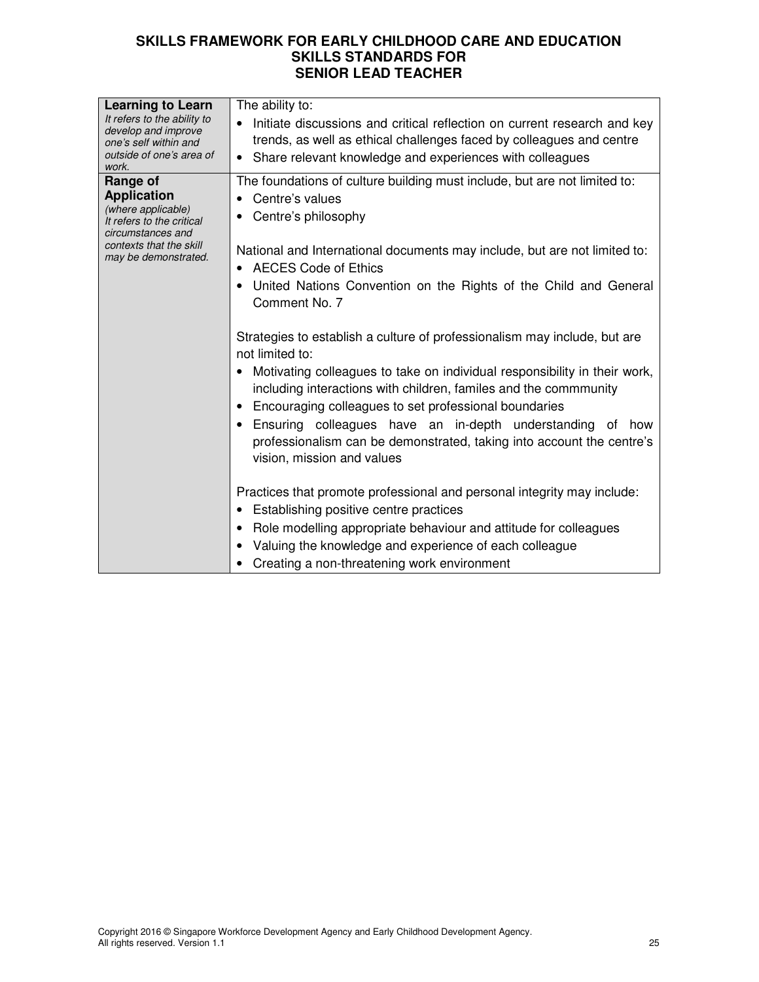| <b>Learning to Learn</b><br>It refers to the ability to<br>develop and improve<br>one's self within and<br>outside of one's area of<br>work.              | The ability to:<br>Initiate discussions and critical reflection on current research and key<br>$\bullet$<br>trends, as well as ethical challenges faced by colleagues and centre<br>Share relevant knowledge and experiences with colleagues<br>$\bullet$                                                                                                                                                                                                                                                                                                                                                                                                                       |
|-----------------------------------------------------------------------------------------------------------------------------------------------------------|---------------------------------------------------------------------------------------------------------------------------------------------------------------------------------------------------------------------------------------------------------------------------------------------------------------------------------------------------------------------------------------------------------------------------------------------------------------------------------------------------------------------------------------------------------------------------------------------------------------------------------------------------------------------------------|
| Range of<br><b>Application</b><br>(where applicable)<br>It refers to the critical<br>circumstances and<br>contexts that the skill<br>may be demonstrated. | The foundations of culture building must include, but are not limited to:<br>Centre's values<br>Centre's philosophy<br>National and International documents may include, but are not limited to:<br><b>AECES Code of Ethics</b><br>United Nations Convention on the Rights of the Child and General<br>Comment No. 7<br>Strategies to establish a culture of professionalism may include, but are<br>not limited to:                                                                                                                                                                                                                                                            |
|                                                                                                                                                           | Motivating colleagues to take on individual responsibility in their work,<br>including interactions with children, familes and the commmunity<br>Encouraging colleagues to set professional boundaries<br>Ensuring colleagues have an in-depth understanding of<br>how<br>professionalism can be demonstrated, taking into account the centre's<br>vision, mission and values<br>Practices that promote professional and personal integrity may include:<br>Establishing positive centre practices<br>Role modelling appropriate behaviour and attitude for colleagues<br>Valuing the knowledge and experience of each colleague<br>Creating a non-threatening work environment |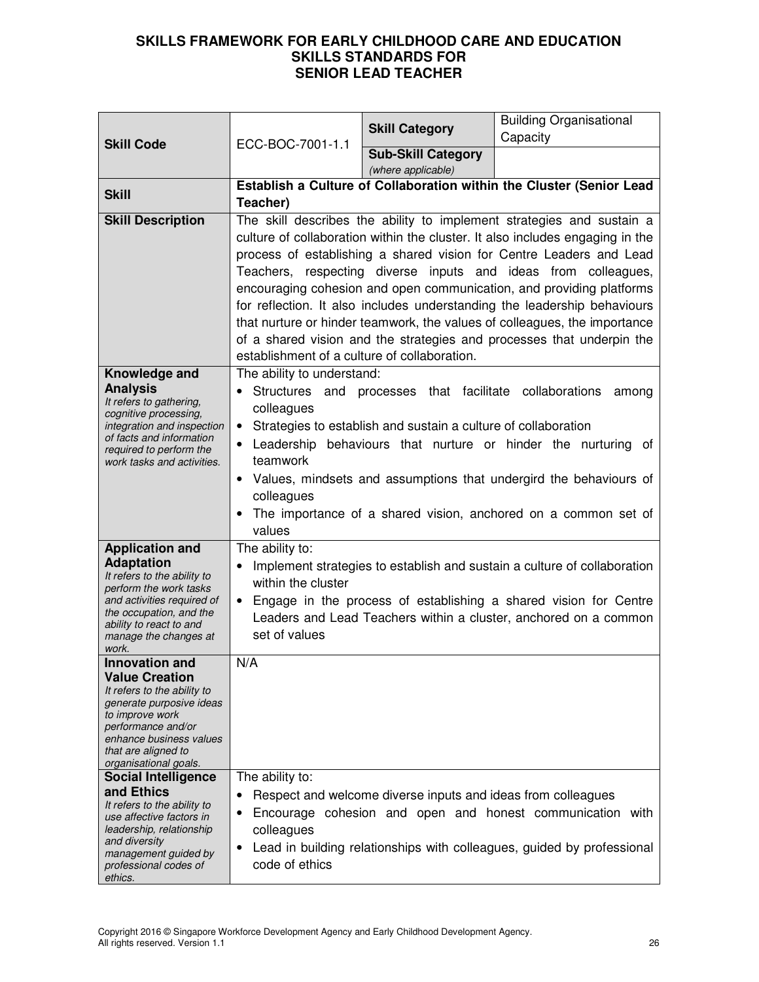| <b>Skill Code</b>                                                                                                                                                                                                                                    | ECC-BOC-7001-1.1                                                                                                                                                                                                                                                                                                                                                                                                                                                                                                                                                                                                                                          | <b>Skill Category</b>                                                                                                     | <b>Building Organisational</b><br>Capacity                                                                                                                                                                       |
|------------------------------------------------------------------------------------------------------------------------------------------------------------------------------------------------------------------------------------------------------|-----------------------------------------------------------------------------------------------------------------------------------------------------------------------------------------------------------------------------------------------------------------------------------------------------------------------------------------------------------------------------------------------------------------------------------------------------------------------------------------------------------------------------------------------------------------------------------------------------------------------------------------------------------|---------------------------------------------------------------------------------------------------------------------------|------------------------------------------------------------------------------------------------------------------------------------------------------------------------------------------------------------------|
|                                                                                                                                                                                                                                                      |                                                                                                                                                                                                                                                                                                                                                                                                                                                                                                                                                                                                                                                           | <b>Sub-Skill Category</b><br>(where applicable)                                                                           |                                                                                                                                                                                                                  |
| <b>Skill</b>                                                                                                                                                                                                                                         | Establish a Culture of Collaboration within the Cluster (Senior Lead<br>Teacher)                                                                                                                                                                                                                                                                                                                                                                                                                                                                                                                                                                          |                                                                                                                           |                                                                                                                                                                                                                  |
| <b>Skill Description</b>                                                                                                                                                                                                                             | The skill describes the ability to implement strategies and sustain a<br>culture of collaboration within the cluster. It also includes engaging in the<br>process of establishing a shared vision for Centre Leaders and Lead<br>Teachers, respecting diverse inputs and ideas from colleagues,<br>encouraging cohesion and open communication, and providing platforms<br>for reflection. It also includes understanding the leadership behaviours<br>that nurture or hinder teamwork, the values of colleagues, the importance<br>of a shared vision and the strategies and processes that underpin the<br>establishment of a culture of collaboration. |                                                                                                                           |                                                                                                                                                                                                                  |
| Knowledge and<br><b>Analysis</b><br>It refers to gathering,<br>cognitive processing,<br>integration and inspection<br>of facts and information<br>required to perform the<br>work tasks and activities.                                              | The ability to understand:<br>colleagues<br>$\bullet$<br>teamwork<br>colleagues<br>values                                                                                                                                                                                                                                                                                                                                                                                                                                                                                                                                                                 | Structures and processes that facilitate collaborations<br>Strategies to establish and sustain a culture of collaboration | among<br>Leadership behaviours that nurture or hinder the nurturing of<br>• Values, mindsets and assumptions that undergird the behaviours of<br>The importance of a shared vision, anchored on a common set of  |
| <b>Application and</b><br><b>Adaptation</b><br>It refers to the ability to<br>perform the work tasks<br>and activities required of<br>the occupation, and the<br>ability to react to and<br>manage the changes at<br>work.                           | The ability to:<br>٠<br>within the cluster<br>set of values                                                                                                                                                                                                                                                                                                                                                                                                                                                                                                                                                                                               |                                                                                                                           | Implement strategies to establish and sustain a culture of collaboration<br>Engage in the process of establishing a shared vision for Centre<br>Leaders and Lead Teachers within a cluster, anchored on a common |
| Innovation and<br><b>Value Creation</b><br>It refers to the ability to<br>generate purposive ideas<br>to improve work<br>performance and/or<br>enhance business values<br>that are aligned to<br>organisational goals.<br><b>Social Intelligence</b> | N/A<br>The ability to:                                                                                                                                                                                                                                                                                                                                                                                                                                                                                                                                                                                                                                    |                                                                                                                           |                                                                                                                                                                                                                  |
| and Ethics<br>It refers to the ability to<br>use affective factors in<br>leadership, relationship<br>and diversity<br>management guided by<br>professional codes of<br>ethics.                                                                       | ٠<br>colleagues<br>٠<br>code of ethics                                                                                                                                                                                                                                                                                                                                                                                                                                                                                                                                                                                                                    | Respect and welcome diverse inputs and ideas from colleagues                                                              | Encourage cohesion and open and honest communication with<br>Lead in building relationships with colleagues, guided by professional                                                                              |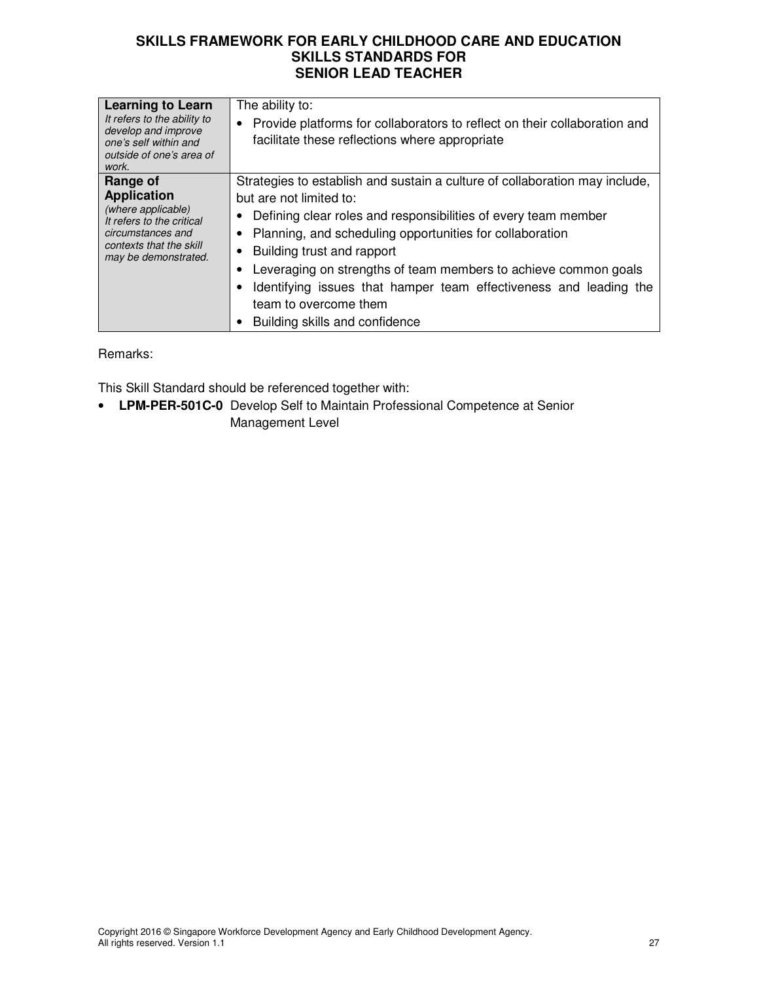| <b>Learning to Learn</b><br>It refers to the ability to<br>develop and improve<br>one's self within and<br>outside of one's area of<br>work.              | The ability to:<br>Provide platforms for collaborators to reflect on their collaboration and<br>facilitate these reflections where appropriate                                                                                                                                                                                                                                                                                                                        |
|-----------------------------------------------------------------------------------------------------------------------------------------------------------|-----------------------------------------------------------------------------------------------------------------------------------------------------------------------------------------------------------------------------------------------------------------------------------------------------------------------------------------------------------------------------------------------------------------------------------------------------------------------|
| Range of<br><b>Application</b><br>(where applicable)<br>It refers to the critical<br>circumstances and<br>contexts that the skill<br>may be demonstrated. | Strategies to establish and sustain a culture of collaboration may include,<br>but are not limited to:<br>Defining clear roles and responsibilities of every team member<br>Planning, and scheduling opportunities for collaboration<br>Building trust and rapport<br>Leveraging on strengths of team members to achieve common goals<br>Identifying issues that hamper team effectiveness and leading the<br>team to overcome them<br>Building skills and confidence |

Remarks:

This Skill Standard should be referenced together with:

• **LPM-PER-501C-0** Develop Self to Maintain Professional Competence at Senior Management Level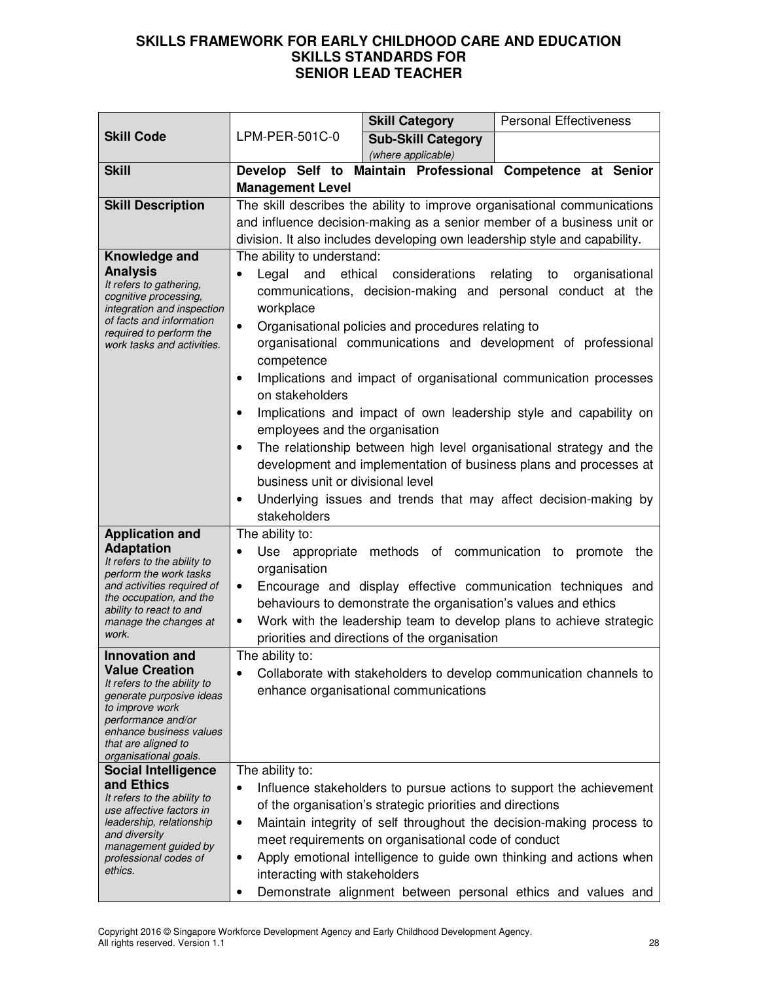|                                                                                                                                                                                                         |                                                                                                                                                                                                                                                                                                                                                                                                                                                                                                                                                                                                                                                                                                                                                                                                                                                               | <b>Skill Category</b>                                                                                                                          | <b>Personal Effectiveness</b>                                                                                                                                                                                                                                                      |
|---------------------------------------------------------------------------------------------------------------------------------------------------------------------------------------------------------|---------------------------------------------------------------------------------------------------------------------------------------------------------------------------------------------------------------------------------------------------------------------------------------------------------------------------------------------------------------------------------------------------------------------------------------------------------------------------------------------------------------------------------------------------------------------------------------------------------------------------------------------------------------------------------------------------------------------------------------------------------------------------------------------------------------------------------------------------------------|------------------------------------------------------------------------------------------------------------------------------------------------|------------------------------------------------------------------------------------------------------------------------------------------------------------------------------------------------------------------------------------------------------------------------------------|
| <b>Skill Code</b>                                                                                                                                                                                       | LPM-PER-501C-0                                                                                                                                                                                                                                                                                                                                                                                                                                                                                                                                                                                                                                                                                                                                                                                                                                                | <b>Sub-Skill Category</b>                                                                                                                      |                                                                                                                                                                                                                                                                                    |
|                                                                                                                                                                                                         |                                                                                                                                                                                                                                                                                                                                                                                                                                                                                                                                                                                                                                                                                                                                                                                                                                                               | (where applicable)                                                                                                                             |                                                                                                                                                                                                                                                                                    |
| <b>Skill</b>                                                                                                                                                                                            |                                                                                                                                                                                                                                                                                                                                                                                                                                                                                                                                                                                                                                                                                                                                                                                                                                                               |                                                                                                                                                | Develop Self to Maintain Professional Competence at Senior                                                                                                                                                                                                                         |
|                                                                                                                                                                                                         | <b>Management Level</b>                                                                                                                                                                                                                                                                                                                                                                                                                                                                                                                                                                                                                                                                                                                                                                                                                                       |                                                                                                                                                |                                                                                                                                                                                                                                                                                    |
| <b>Skill Description</b>                                                                                                                                                                                | The skill describes the ability to improve organisational communications<br>and influence decision-making as a senior member of a business unit or                                                                                                                                                                                                                                                                                                                                                                                                                                                                                                                                                                                                                                                                                                            |                                                                                                                                                |                                                                                                                                                                                                                                                                                    |
|                                                                                                                                                                                                         |                                                                                                                                                                                                                                                                                                                                                                                                                                                                                                                                                                                                                                                                                                                                                                                                                                                               |                                                                                                                                                | division. It also includes developing own leadership style and capability.                                                                                                                                                                                                         |
|                                                                                                                                                                                                         |                                                                                                                                                                                                                                                                                                                                                                                                                                                                                                                                                                                                                                                                                                                                                                                                                                                               |                                                                                                                                                |                                                                                                                                                                                                                                                                                    |
| Knowledge and<br><b>Analysis</b><br>It refers to gathering,<br>cognitive processing,<br>integration and inspection<br>of facts and information<br>required to perform the<br>work tasks and activities. | The ability to understand:<br>ethical<br>considerations<br>relating<br>Legal<br>and<br>organisational<br>to<br>$\bullet$<br>communications, decision-making and personal conduct at the<br>workplace<br>Organisational policies and procedures relating to<br>$\bullet$<br>organisational communications and development of professional<br>competence<br>Implications and impact of organisational communication processes<br>$\bullet$<br>on stakeholders<br>Implications and impact of own leadership style and capability on<br>$\bullet$<br>employees and the organisation<br>The relationship between high level organisational strategy and the<br>$\bullet$<br>development and implementation of business plans and processes at<br>business unit or divisional level<br>Underlying issues and trends that may affect decision-making by<br>$\bullet$ |                                                                                                                                                |                                                                                                                                                                                                                                                                                    |
| <b>Application and</b>                                                                                                                                                                                  | stakeholders<br>The ability to:                                                                                                                                                                                                                                                                                                                                                                                                                                                                                                                                                                                                                                                                                                                                                                                                                               |                                                                                                                                                |                                                                                                                                                                                                                                                                                    |
| <b>Adaptation</b><br>It refers to the ability to<br>perform the work tasks<br>and activities required of<br>the occupation, and the<br>ability to react to and<br>manage the changes at<br>work.        | Use appropriate<br>$\bullet$<br>organisation<br>$\bullet$<br>$\bullet$                                                                                                                                                                                                                                                                                                                                                                                                                                                                                                                                                                                                                                                                                                                                                                                        | methods of communication to<br>behaviours to demonstrate the organisation's values and ethics<br>priorities and directions of the organisation | promote<br>the<br>Encourage and display effective communication techniques and<br>Work with the leadership team to develop plans to achieve strategic                                                                                                                              |
| <b>Innovation and</b>                                                                                                                                                                                   | The ability to:                                                                                                                                                                                                                                                                                                                                                                                                                                                                                                                                                                                                                                                                                                                                                                                                                                               |                                                                                                                                                |                                                                                                                                                                                                                                                                                    |
| <b>Value Creation</b><br>It refers to the ability to<br>generate purposive ideas<br>to improve work<br>performance and/or<br>enhance business values<br>that are aligned to<br>organisational goals.    |                                                                                                                                                                                                                                                                                                                                                                                                                                                                                                                                                                                                                                                                                                                                                                                                                                                               | enhance organisational communications                                                                                                          | Collaborate with stakeholders to develop communication channels to                                                                                                                                                                                                                 |
| <b>Social Intelligence</b>                                                                                                                                                                              | The ability to:                                                                                                                                                                                                                                                                                                                                                                                                                                                                                                                                                                                                                                                                                                                                                                                                                                               |                                                                                                                                                |                                                                                                                                                                                                                                                                                    |
| and Ethics<br>It refers to the ability to<br>use affective factors in<br>leadership, relationship<br>and diversity<br>management guided by<br>professional codes of<br>ethics.                          | ٠<br>$\bullet$<br>$\bullet$<br>interacting with stakeholders<br>$\bullet$                                                                                                                                                                                                                                                                                                                                                                                                                                                                                                                                                                                                                                                                                                                                                                                     | of the organisation's strategic priorities and directions<br>meet requirements on organisational code of conduct                               | Influence stakeholders to pursue actions to support the achievement<br>Maintain integrity of self throughout the decision-making process to<br>Apply emotional intelligence to guide own thinking and actions when<br>Demonstrate alignment between personal ethics and values and |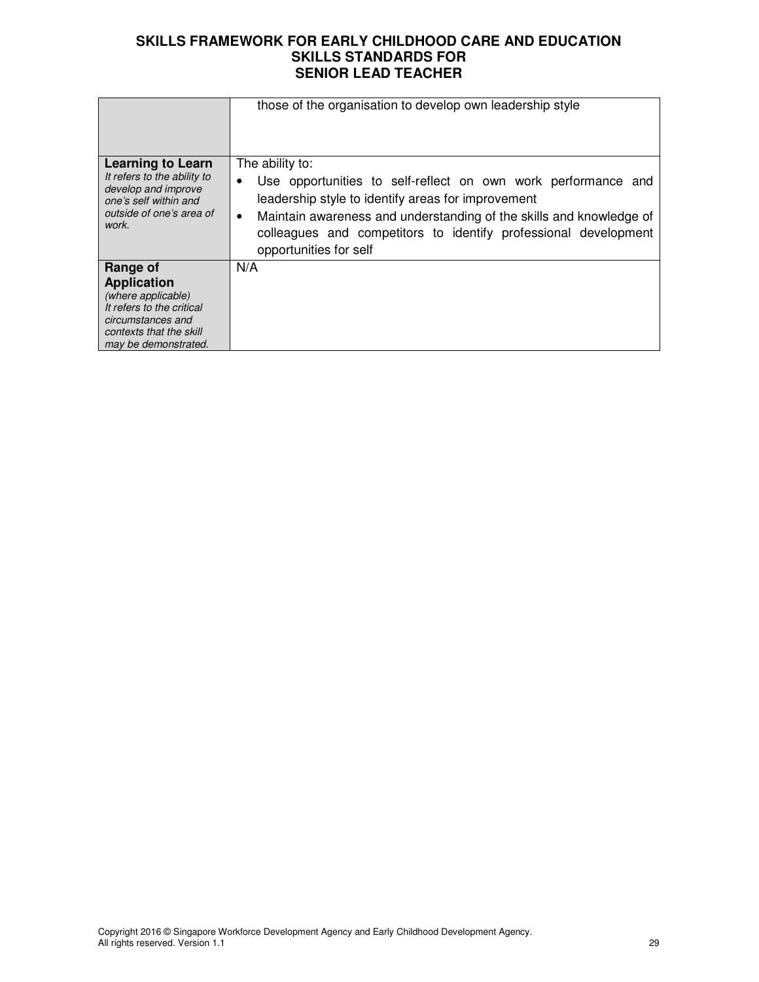|                                                                                                                                                           | those of the organisation to develop own leadership style                                                                                                                                                                                                                                                               |
|-----------------------------------------------------------------------------------------------------------------------------------------------------------|-------------------------------------------------------------------------------------------------------------------------------------------------------------------------------------------------------------------------------------------------------------------------------------------------------------------------|
| <b>Learning to Learn</b><br>It refers to the ability to<br>develop and improve<br>one's self within and<br>outside of one's area of<br>work.              | The ability to:<br>Use opportunities to self-reflect on own work performance and<br>leadership style to identify areas for improvement<br>Maintain awareness and understanding of the skills and knowledge of<br>$\bullet$<br>colleagues and competitors to identify professional development<br>opportunities for self |
| Range of<br><b>Application</b><br>(where applicable)<br>It refers to the critical<br>circumstances and<br>contexts that the skill<br>may be demonstrated. | N/A                                                                                                                                                                                                                                                                                                                     |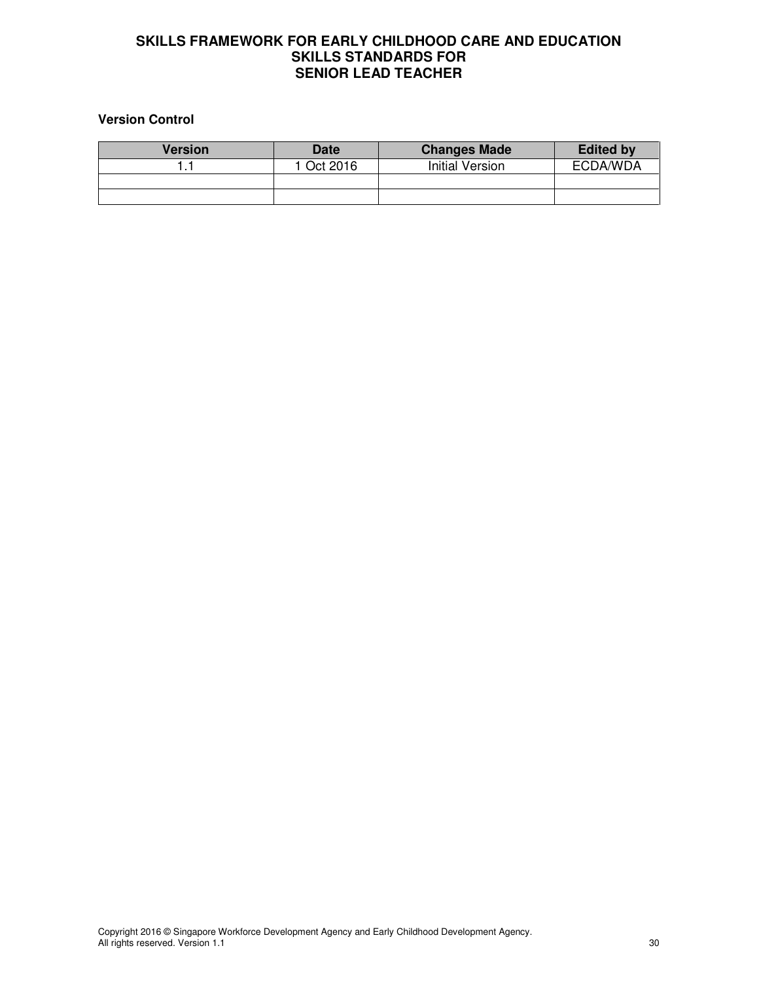## **Version Control**

| <b>Version</b> | Date       | <b>Changes Made</b>    | <b>Edited by</b> |
|----------------|------------|------------------------|------------------|
|                | 1 Oct 2016 | <b>Initial Version</b> | ECDA/WDA         |
|                |            |                        |                  |
|                |            |                        |                  |